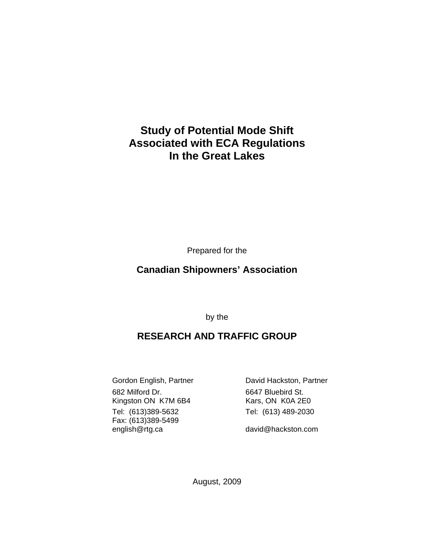# **Study of Potential Mode Shift Associated with ECA Regulations In the Great Lakes**

Prepared for the

## **Canadian Shipowners' Association**

by the

## **RESEARCH AND TRAFFIC GROUP**

682 Milford Dr. 6647 Bluebird St. Kingston ON K7M 6B4 Kars, ON K0A 2E0 Tel: (613)389-5632 Tel: (613) 489-2030 Fax: (613)389-5499 english@rtg.ca david@hackston.com

Gordon English, Partner **David Hackston, Partner** 

August, 2009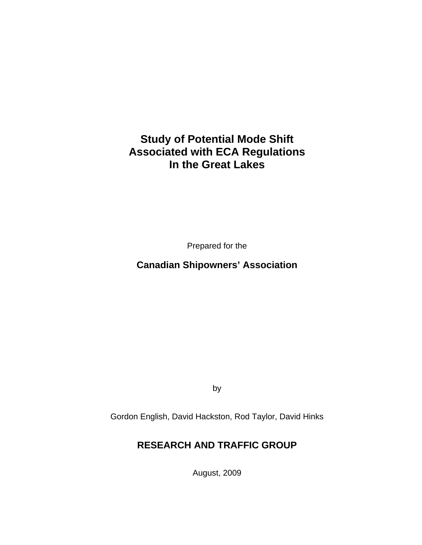# **Study of Potential Mode Shift Associated with ECA Regulations In the Great Lakes**

Prepared for the

## **Canadian Shipowners' Association**

by

Gordon English, David Hackston, Rod Taylor, David Hinks

## **RESEARCH AND TRAFFIC GROUP**

August, 2009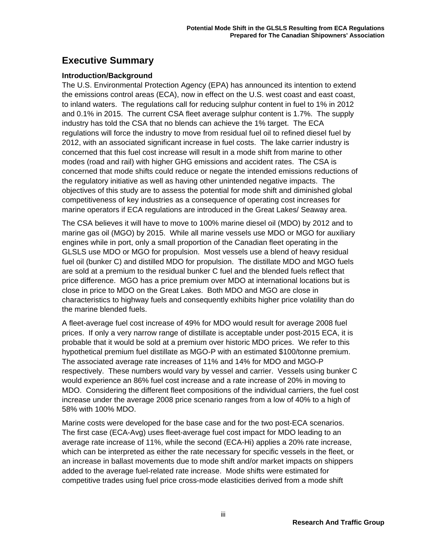## **Executive Summary**

#### **Introduction/Background**

The U.S. Environmental Protection Agency (EPA) has announced its intention to extend the emissions control areas (ECA), now in effect on the U.S. west coast and east coast, to inland waters. The regulations call for reducing sulphur content in fuel to 1% in 2012 and 0.1% in 2015. The current CSA fleet average sulphur content is 1.7%. The supply industry has told the CSA that no blends can achieve the 1% target. The ECA regulations will force the industry to move from residual fuel oil to refined diesel fuel by 2012, with an associated significant increase in fuel costs. The lake carrier industry is concerned that this fuel cost increase will result in a mode shift from marine to other modes (road and rail) with higher GHG emissions and accident rates. The CSA is concerned that mode shifts could reduce or negate the intended emissions reductions of the regulatory initiative as well as having other unintended negative impacts. The objectives of this study are to assess the potential for mode shift and diminished global competitiveness of key industries as a consequence of operating cost increases for marine operators if ECA regulations are introduced in the Great Lakes/ Seaway area.

The CSA believes it will have to move to 100% marine diesel oil (MDO) by 2012 and to marine gas oil (MGO) by 2015. While all marine vessels use MDO or MGO for auxiliary engines while in port, only a small proportion of the Canadian fleet operating in the GLSLS use MDO or MGO for propulsion. Most vessels use a blend of heavy residual fuel oil (bunker C) and distilled MDO for propulsion. The distillate MDO and MGO fuels are sold at a premium to the residual bunker C fuel and the blended fuels reflect that price difference. MGO has a price premium over MDO at international locations but is close in price to MDO on the Great Lakes. Both MDO and MGO are close in characteristics to highway fuels and consequently exhibits higher price volatility than do the marine blended fuels.

A fleet-average fuel cost increase of 49% for MDO would result for average 2008 fuel prices. If only a very narrow range of distillate is acceptable under post-2015 ECA, it is probable that it would be sold at a premium over historic MDO prices. We refer to this hypothetical premium fuel distillate as MGO-P with an estimated \$100/tonne premium. The associated average rate increases of 11% and 14% for MDO and MGO-P respectively. These numbers would vary by vessel and carrier. Vessels using bunker C would experience an 86% fuel cost increase and a rate increase of 20% in moving to MDO. Considering the different fleet compositions of the individual carriers, the fuel cost increase under the average 2008 price scenario ranges from a low of 40% to a high of 58% with 100% MDO.

Marine costs were developed for the base case and for the two post-ECA scenarios. The first case (ECA-Avg) uses fleet-average fuel cost impact for MDO leading to an average rate increase of 11%, while the second (ECA-Hi) applies a 20% rate increase, which can be interpreted as either the rate necessary for specific vessels in the fleet, or an increase in ballast movements due to mode shift and/or market impacts on shippers added to the average fuel-related rate increase. Mode shifts were estimated for competitive trades using fuel price cross-mode elasticities derived from a mode shift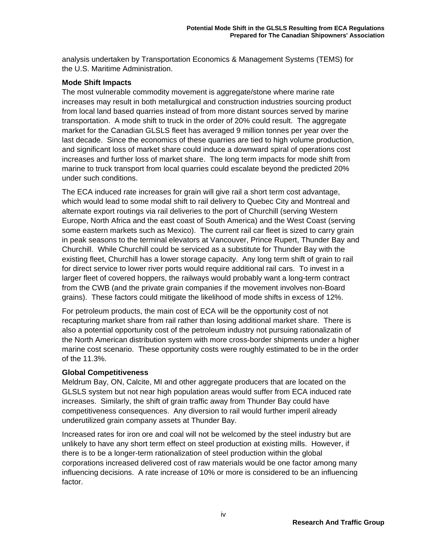analysis undertaken by Transportation Economics & Management Systems (TEMS) for the U.S. Maritime Administration.

#### **Mode Shift Impacts**

The most vulnerable commodity movement is aggregate/stone where marine rate increases may result in both metallurgical and construction industries sourcing product from local land based quarries instead of from more distant sources served by marine transportation. A mode shift to truck in the order of 20% could result. The aggregate market for the Canadian GLSLS fleet has averaged 9 million tonnes per year over the last decade. Since the economics of these quarries are tied to high volume production, and significant loss of market share could induce a downward spiral of operations cost increases and further loss of market share. The long term impacts for mode shift from marine to truck transport from local quarries could escalate beyond the predicted 20% under such conditions.

The ECA induced rate increases for grain will give rail a short term cost advantage, which would lead to some modal shift to rail delivery to Quebec City and Montreal and alternate export routings via rail deliveries to the port of Churchill (serving Western Europe, North Africa and the east coast of South America) and the West Coast (serving some eastern markets such as Mexico). The current rail car fleet is sized to carry grain in peak seasons to the terminal elevators at Vancouver, Prince Rupert, Thunder Bay and Churchill. While Churchill could be serviced as a substitute for Thunder Bay with the existing fleet, Churchill has a lower storage capacity. Any long term shift of grain to rail for direct service to lower river ports would require additional rail cars. To invest in a larger fleet of covered hoppers, the railways would probably want a long-term contract from the CWB (and the private grain companies if the movement involves non-Board grains). These factors could mitigate the likelihood of mode shifts in excess of 12%.

For petroleum products, the main cost of ECA will be the opportunity cost of not recapturing market share from rail rather than losing additional market share. There is also a potential opportunity cost of the petroleum industry not pursuing rationalizatin of the North American distribution system with more cross-border shipments under a higher marine cost scenario. These opportunity costs were roughly estimated to be in the order of the 11.3%.

#### **Global Competitiveness**

Meldrum Bay, ON, Calcite, MI and other aggregate producers that are located on the GLSLS system but not near high population areas would suffer from ECA induced rate increases. Similarly, the shift of grain traffic away from Thunder Bay could have competitiveness consequences. Any diversion to rail would further imperil already underutilized grain company assets at Thunder Bay.

Increased rates for iron ore and coal will not be welcomed by the steel industry but are unlikely to have any short term effect on steel production at existing mills. However, if there is to be a longer-term rationalization of steel production within the global corporations increased delivered cost of raw materials would be one factor among many influencing decisions. A rate increase of 10% or more is considered to be an influencing factor.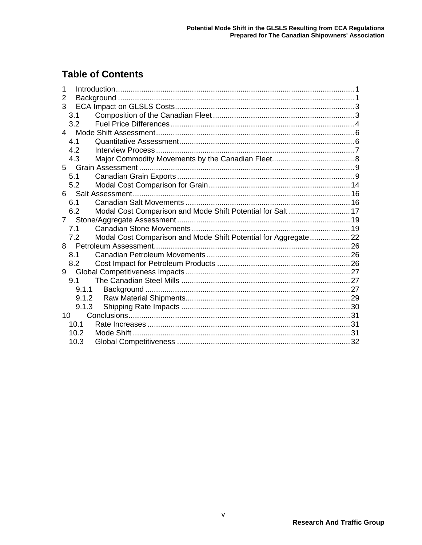# **Table of Contents**

| 2     |                                                                |  |
|-------|----------------------------------------------------------------|--|
| 3     |                                                                |  |
| 3.1   |                                                                |  |
| 3.2   |                                                                |  |
|       |                                                                |  |
| 4.1   |                                                                |  |
| 4.2   |                                                                |  |
| 4.3   |                                                                |  |
|       |                                                                |  |
| 5.1   |                                                                |  |
| 5.2   |                                                                |  |
|       |                                                                |  |
| 6.1   |                                                                |  |
| 6.2   | Modal Cost Comparison and Mode Shift Potential for Salt  17    |  |
| 7     |                                                                |  |
| 7.1   |                                                                |  |
| 7.2   | Modal Cost Comparison and Mode Shift Potential for Aggregate22 |  |
| 8     |                                                                |  |
| 8.1   |                                                                |  |
| 8.2   |                                                                |  |
| 9     |                                                                |  |
| 9.1   |                                                                |  |
| 9.1.1 |                                                                |  |
| 9.1.2 |                                                                |  |
| 9.1.3 |                                                                |  |
| 10    |                                                                |  |
| 10.1  |                                                                |  |
| 10.2  |                                                                |  |
| 10.3  |                                                                |  |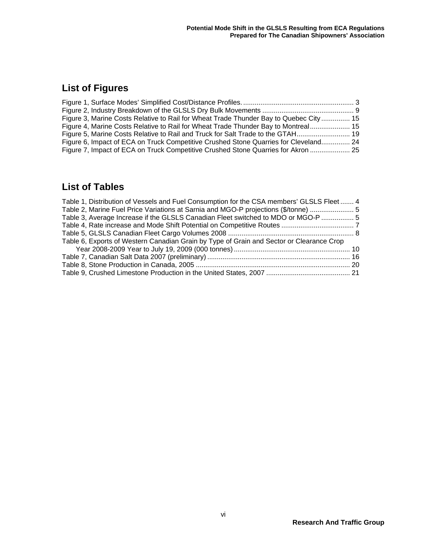# **List of Figures**

| Figure 3, Marine Costs Relative to Rail for Wheat Trade Thunder Bay to Quebec City  15 |  |
|----------------------------------------------------------------------------------------|--|
| Figure 4, Marine Costs Relative to Rail for Wheat Trade Thunder Bay to Montreal 15     |  |
| Figure 5, Marine Costs Relative to Rail and Truck for Salt Trade to the GTAH           |  |
| Figure 6, Impact of ECA on Truck Competitive Crushed Stone Quarries for Cleveland 24   |  |
| Figure 7, Impact of ECA on Truck Competitive Crushed Stone Quarries for Akron  25      |  |

## **List of Tables**

| Table 1, Distribution of Vessels and Fuel Consumption for the CSA members' GLSLS Fleet  4 |  |
|-------------------------------------------------------------------------------------------|--|
| Table 2, Marine Fuel Price Variations at Sarnia and MGO-P projections (\$/tonne)  5       |  |
| Table 3, Average Increase if the GLSLS Canadian Fleet switched to MDO or MGO-P  5         |  |
|                                                                                           |  |
|                                                                                           |  |
| Table 6, Exports of Western Canadian Grain by Type of Grain and Sector or Clearance Crop  |  |
|                                                                                           |  |
|                                                                                           |  |
|                                                                                           |  |
|                                                                                           |  |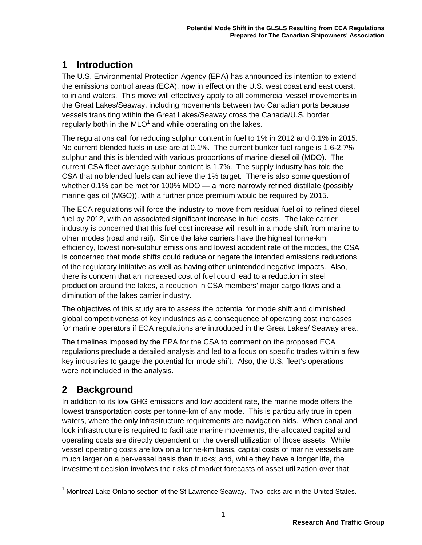## **1 Introduction**

The U.S. Environmental Protection Agency (EPA) has announced its intention to extend the emissions control areas (ECA), now in effect on the U.S. west coast and east coast, to inland waters. This move will effectively apply to all commercial vessel movements in the Great Lakes/Seaway, including movements between two Canadian ports because vessels transiting within the Great Lakes/Seaway cross the Canada/U.S. border regularly both in the MLO<sup>1</sup> and while operating on the lakes.

The regulations call for reducing sulphur content in fuel to 1% in 2012 and 0.1% in 2015. No current blended fuels in use are at 0.1%. The current bunker fuel range is 1.6-2.7% sulphur and this is blended with various proportions of marine diesel oil (MDO). The current CSA fleet average sulphur content is 1.7%. The supply industry has told the CSA that no blended fuels can achieve the 1% target. There is also some question of whether 0.1% can be met for 100% MDO — a more narrowly refined distillate (possibly marine gas oil (MGO)), with a further price premium would be required by 2015.

The ECA regulations will force the industry to move from residual fuel oil to refined diesel fuel by 2012, with an associated significant increase in fuel costs. The lake carrier industry is concerned that this fuel cost increase will result in a mode shift from marine to other modes (road and rail). Since the lake carriers have the highest tonne-km efficiency, lowest non-sulphur emissions and lowest accident rate of the modes, the CSA is concerned that mode shifts could reduce or negate the intended emissions reductions of the regulatory initiative as well as having other unintended negative impacts. Also, there is concern that an increased cost of fuel could lead to a reduction in steel production around the lakes, a reduction in CSA members' major cargo flows and a diminution of the lakes carrier industry.

The objectives of this study are to assess the potential for mode shift and diminished global competitiveness of key industries as a consequence of operating cost increases for marine operators if ECA regulations are introduced in the Great Lakes/ Seaway area.

The timelines imposed by the EPA for the CSA to comment on the proposed ECA regulations preclude a detailed analysis and led to a focus on specific trades within a few key industries to gauge the potential for mode shift. Also, the U.S. fleet's operations were not included in the analysis.

## **2 Background**

In addition to its low GHG emissions and low accident rate, the marine mode offers the lowest transportation costs per tonne-km of any mode. This is particularly true in open waters, where the only infrastructure requirements are navigation aids. When canal and lock infrastructure is required to facilitate marine movements, the allocated capital and operating costs are directly dependent on the overall utilization of those assets. While vessel operating costs are low on a tonne-km basis, capital costs of marine vessels are much larger on a per-vessel basis than trucks; and, while they have a longer life, the investment decision involves the risks of market forecasts of asset utilization over that

  $1$  Montreal-Lake Ontario section of the St Lawrence Seaway. Two locks are in the United States.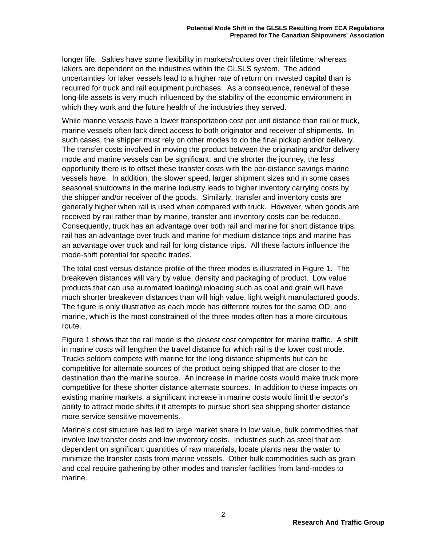longer life. Salties have some flexibility in markets/routes over their lifetime, whereas lakers are dependent on the industries within the GLSLS system. The added uncertainties for laker vessels lead to a higher rate of return on invested capital than is required for truck and rail equipment purchases. As a consequence, renewal of these long-life assets is very much influenced by the stability of the economic environment in which they work and the future health of the industries they served.

While marine vessels have a lower transportation cost per unit distance than rail or truck, marine vessels often lack direct access to both originator and receiver of shipments. In such cases, the shipper must rely on other modes to do the final pickup and/or delivery. The transfer costs involved in moving the product between the originating and/or delivery mode and marine vessels can be significant; and the shorter the journey, the less opportunity there is to offset these transfer costs with the per-distance savings marine vessels have. In addition, the slower speed, larger shipment sizes and in some cases seasonal shutdowns in the marine industry leads to higher inventory carrying costs by the shipper and/or receiver of the goods. Similarly, transfer and inventory costs are generally higher when rail is used when compared with truck. However, when goods are received by rail rather than by marine, transfer and inventory costs can be reduced. Consequently, truck has an advantage over both rail and marine for short distance trips, rail has an advantage over truck and marine for medium distance trips and marine has an advantage over truck and rail for long distance trips. All these factors influence the mode-shift potential for specific trades.

The total cost versus distance profile of the three modes is illustrated in Figure 1. The breakeven distances will vary by value, density and packaging of product. Low value products that can use automated loading/unloading such as coal and grain will have much shorter breakeven distances than will high value, light weight manufactured goods. The figure is only illustrative as each mode has different routes for the same OD, and marine, which is the most constrained of the three modes often has a more circuitous route.

Figure 1 shows that the rail mode is the closest cost competitor for marine traffic. A shift in marine costs will lengthen the travel distance for which rail is the lower cost mode. Trucks seldom compete with marine for the long distance shipments but can be competitive for alternate sources of the product being shipped that are closer to the destination than the marine source. An increase in marine costs would make truck more competitive for these shorter distance alternate sources. In addition to these impacts on existing marine markets, a significant increase in marine costs would limit the sector's ability to attract mode shifts if it attempts to pursue short sea shipping shorter distance more service sensitive movements.

Marine's cost structure has led to large market share in low value, bulk commodities that involve low transfer costs and low inventory costs. Industries such as steel that are dependent on significant quantities of raw materials, locate plants near the water to minimize the transfer costs from marine vessels. Other bulk commodities such as grain and coal require gathering by other modes and transfer facilities from land-modes to marine.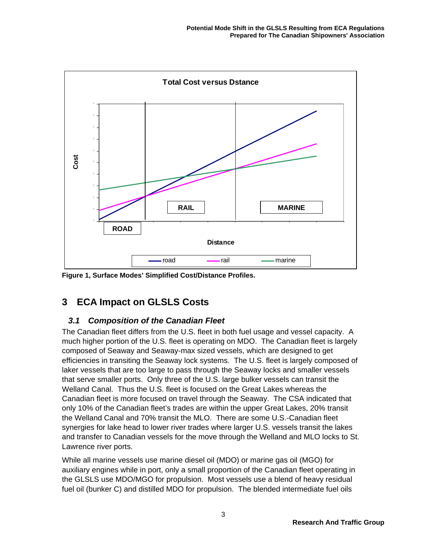

**Figure 1, Surface Modes' Simplified Cost/Distance Profiles.** 

## **3 ECA Impact on GLSLS Costs**

### *3.1 Composition of the Canadian Fleet*

The Canadian fleet differs from the U.S. fleet in both fuel usage and vessel capacity. A much higher portion of the U.S. fleet is operating on MDO. The Canadian fleet is largely composed of Seaway and Seaway-max sized vessels, which are designed to get efficiencies in transiting the Seaway lock systems. The U.S. fleet is largely composed of laker vessels that are too large to pass through the Seaway locks and smaller vessels that serve smaller ports. Only three of the U.S. large bulker vessels can transit the Welland Canal. Thus the U.S. fleet is focused on the Great Lakes whereas the Canadian fleet is more focused on travel through the Seaway. The CSA indicated that only 10% of the Canadian fleet's trades are within the upper Great Lakes, 20% transit the Welland Canal and 70% transit the MLO. There are some U.S.-Canadian fleet synergies for lake head to lower river trades where larger U.S. vessels transit the lakes and transfer to Canadian vessels for the move through the Welland and MLO locks to St. Lawrence river ports.

While all marine vessels use marine diesel oil (MDO) or marine gas oil (MGO) for auxiliary engines while in port, only a small proportion of the Canadian fleet operating in the GLSLS use MDO/MGO for propulsion. Most vessels use a blend of heavy residual fuel oil (bunker C) and distilled MDO for propulsion. The blended intermediate fuel oils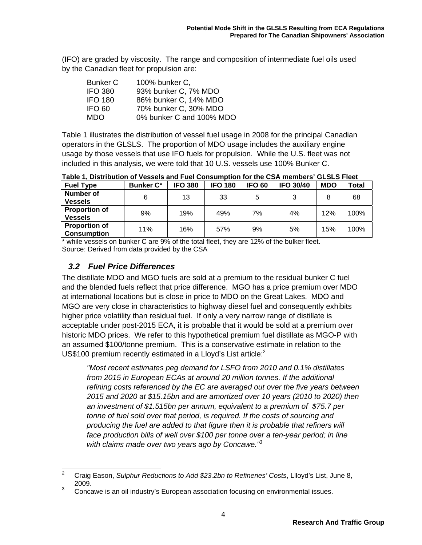(IFO) are graded by viscosity. The range and composition of intermediate fuel oils used by the Canadian fleet for propulsion are:

| <b>Bunker C</b> | 100% bunker C.           |
|-----------------|--------------------------|
| <b>IFO 380</b>  | 93% bunker C, 7% MDO     |
| <b>IFO 180</b>  | 86% bunker C, 14% MDO    |
| IFO 60          | 70% bunker C, 30% MDO    |
| <b>MDO</b>      | 0% bunker C and 100% MDO |

Table 1 illustrates the distribution of vessel fuel usage in 2008 for the principal Canadian operators in the GLSLS. The proportion of MDO usage includes the auxiliary engine usage by those vessels that use IFO fuels for propulsion. While the U.S. fleet was not included in this analysis, we were told that 10 U.S. vessels use 100% Bunker C.

**Table 1, Distribution of Vessels and Fuel Consumption for the CSA members' GLSLS Fleet** 

| <b>Fuel Type</b>     | <b>Bunker C*</b> | <b>IFO 380</b> | <b>IFO 180</b> | <b>IFO 60</b> | <b>IFO 30/40</b> | <b>MDO</b> | Total |
|----------------------|------------------|----------------|----------------|---------------|------------------|------------|-------|
| <b>Number of</b>     | 6                | 13             | 33             | 5             |                  | 8          | 68    |
| <b>Vessels</b>       |                  |                |                |               |                  |            |       |
| <b>Proportion of</b> | 9%               | 19%            | 49%            | 7%            | 4%               | 12%        | 100%  |
| <b>Vessels</b>       |                  |                |                |               |                  |            |       |
| <b>Proportion of</b> | 11%              | 16%            | 57%            | 9%            | 5%               | 15%        | 100%  |
| <b>Consumption</b>   |                  |                |                |               |                  |            |       |

\* while vessels on bunker C are 9% of the total fleet, they are 12% of the bulker fleet. Source: Derived from data provided by the CSA

### *3.2 Fuel Price Differences*

The distillate MDO and MGO fuels are sold at a premium to the residual bunker C fuel and the blended fuels reflect that price difference. MGO has a price premium over MDO at international locations but is close in price to MDO on the Great Lakes. MDO and MGO are very close in characteristics to highway diesel fuel and consequently exhibits higher price volatility than residual fuel. If only a very narrow range of distillate is acceptable under post-2015 ECA, it is probable that it would be sold at a premium over historic MDO prices. We refer to this hypothetical premium fuel distillate as MGO-P with an assumed \$100/tonne premium. This is a conservative estimate in relation to the US\$100 premium recently estimated in a Lloyd's List article: $2$ 

*"Most recent estimates peg demand for LSFO from 2010 and 0.1% distillates from 2015 in European ECAs at around 20 million tonnes. If the additional refining costs referenced by the EC are averaged out over the five years between 2015 and 2020 at \$15.15bn and are amortized over 10 years (2010 to 2020) then an investment of \$1.515bn per annum, equivalent to a premium of \$75.7 per tonne of fuel sold over that period, is required. If the costs of sourcing and producing the fuel are added to that figure then it is probable that refiners will face production bills of well over \$100 per tonne over a ten-year period; in line with claims made over two years ago by Concawe."<sup>3</sup>*

 $\frac{1}{2}$  Craig Eason, *Sulphur Reductions to Add \$23.2bn to Refineries' Costs*, Llloyd's List, June 8, 2009.

<sup>3</sup> Concawe is an oil industry's European association focusing on environmental issues.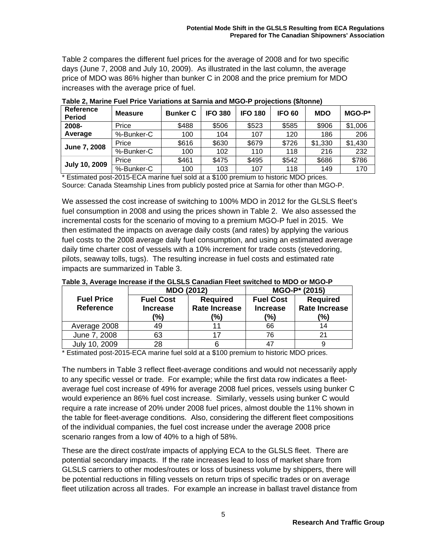Table 2 compares the different fuel prices for the average of 2008 and for two specific days (June 7, 2008 and July 10, 2009). As illustrated in the last column, the average price of MDO was 86% higher than bunker C in 2008 and the price premium for MDO increases with the average price of fuel.

| <b>Reference</b><br><b>Period</b> | <b>Measure</b> | <b>Bunker C</b> | <b>IFO 380</b> | <b>IFO 180</b> | IFO 60 | <b>MDO</b> | $MGO-P^*$ |
|-----------------------------------|----------------|-----------------|----------------|----------------|--------|------------|-----------|
| 2008-                             | Price          | \$488           | \$506          | \$523          | \$585  | \$906      | \$1,006   |
| Average                           | %-Bunker-C     | 100             | 104            | 107            | 120    | 186        | 206       |
|                                   | Price          | \$616           | \$630          | \$679          | \$726  | \$1,330    | \$1,430   |
| <b>June 7, 2008</b>               | %-Bunker-C     | 100             | 102            | 110            | 118    | 216        | 232       |
| <b>July 10, 2009</b>              | Price          | \$461           | \$475          | \$495          | \$542  | \$686      | \$786     |
|                                   | %-Bunker-C     | 100             | 103            | 107            | 118    | 149        | 170       |

**Table 2, Marine Fuel Price Variations at Sarnia and MGO-P projections (\$/tonne)** 

\* Estimated post-2015-ECA marine fuel sold at a \$100 premium to historic MDO prices. Source: Canada Steamship Lines from publicly posted price at Sarnia for other than MGO-P.

We assessed the cost increase of switching to 100% MDO in 2012 for the GLSLS fleet's fuel consumption in 2008 and using the prices shown in Table 2. We also assessed the incremental costs for the scenario of moving to a premium MGO-P fuel in 2015. We then estimated the impacts on average daily costs (and rates) by applying the various fuel costs to the 2008 average daily fuel consumption, and using an estimated average daily time charter cost of vessels with a 10% increment for trade costs (stevedoring, pilots, seaway tolls, tugs). The resulting increase in fuel costs and estimated rate impacts are summarized in Table 3.

|                                       | <b>MDO (2012)</b>                          |    | MGO-P* (2015)                              |                                                |  |
|---------------------------------------|--------------------------------------------|----|--------------------------------------------|------------------------------------------------|--|
| <b>Fuel Price</b><br><b>Reference</b> | <b>Fuel Cost</b><br><b>Increase</b><br>(%) |    | <b>Fuel Cost</b><br><b>Increase</b><br>(%) | <b>Required</b><br><b>Rate Increase</b><br>(%) |  |
| Average 2008                          | 49                                         |    | 66                                         | 14                                             |  |
| June 7, 2008                          | 63                                         | 17 | 76                                         | 21                                             |  |
| July 10, 2009                         | 28                                         |    |                                            |                                                |  |

#### **Table 3, Average Increase if the GLSLS Canadian Fleet switched to MDO or MGO-P**

\* Estimated post-2015-ECA marine fuel sold at a \$100 premium to historic MDO prices.

The numbers in Table 3 reflect fleet-average conditions and would not necessarily apply to any specific vessel or trade. For example; while the first data row indicates a fleetaverage fuel cost increase of 49% for average 2008 fuel prices, vessels using bunker C would experience an 86% fuel cost increase. Similarly, vessels using bunker C would require a rate increase of 20% under 2008 fuel prices, almost double the 11% shown in the table for fleet-average conditions. Also, considering the different fleet compositions of the individual companies, the fuel cost increase under the average 2008 price scenario ranges from a low of 40% to a high of 58%.

These are the direct cost/rate impacts of applying ECA to the GLSLS fleet. There are potential secondary impacts. If the rate increases lead to loss of market share from GLSLS carriers to other modes/routes or loss of business volume by shippers, there will be potential reductions in filling vessels on return trips of specific trades or on average fleet utilization across all trades. For example an increase in ballast travel distance from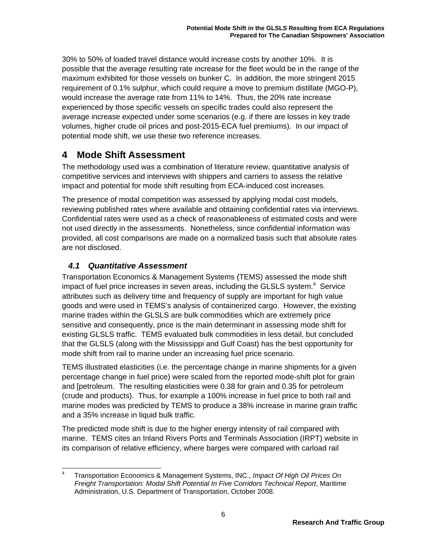30% to 50% of loaded travel distance would increase costs by another 10%. It is possible that the average resulting rate increase for the fleet would be in the range of the maximum exhibited for those vessels on bunker C. In addition, the more stringent 2015 requirement of 0.1% sulphur, which could require a move to premium distillate (MGO-P), would increase the average rate from 11% to 14%. Thus, the 20% rate increase experienced by those specific vessels on specific trades could also represent the average increase expected under some scenarios (e.g. if there are losses in key trade volumes, higher crude oil prices and post-2015-ECA fuel premiums). In our impact of potential mode shift, we use these two reference increases.

## **4 Mode Shift Assessment**

The methodology used was a combination of literature review, quantitative analysis of competitive services and interviews with shippers and carriers to assess the relative impact and potential for mode shift resulting from ECA-induced cost increases.

The presence of modal competition was assessed by applying modal cost models, reviewing published rates where available and obtaining confidential rates via interviews. Confidential rates were used as a check of reasonableness of estimated costs and were not used directly in the assessments. Nonetheless, since confidential information was provided, all cost comparisons are made on a normalized basis such that absolute rates are not disclosed.

### *4.1 Quantitative Assessment*

Transportation Economics & Management Systems (TEMS) assessed the mode shift impact of fuel price increases in seven areas, including the GLSLS system. $4$  Service attributes such as delivery time and frequency of supply are important for high value goods and were used in TEMS's analysis of containerized cargo. However, the existing marine trades within the GLSLS are bulk commodities which are extremely price sensitive and consequently, price is the main determinant in assessing mode shift for existing GLSLS traffic. TEMS evaluated bulk commodities in less detail, but concluded that the GLSLS (along with the Mississippi and Gulf Coast) has the best opportunity for mode shift from rail to marine under an increasing fuel price scenario.

TEMS illustrated elasticities (i.e. the percentage change in marine shipments for a given percentage change in fuel price) were scaled from the reported mode-shift plot for grain and [petroleum. The resulting elasticities were 0.38 for grain and 0.35 for petroleum (crude and products). Thus, for example a 100% increase in fuel price to both rail and marine modes was predicted by TEMS to produce a 38% increase in marine grain traffic and a 35% increase in liquid bulk traffic.

The predicted mode shift is due to the higher energy intensity of rail compared with marine. TEMS cites an Inland Rivers Ports and Terminals Association (IRPT) website in its comparison of relative efficiency, where barges were compared with carload rail

 $\frac{1}{4}$  Transportation Economics & Management Systems, INC., *Impact Of High Oil Prices On Freight Transportation: Modal Shift Potential In Five Corridors Technical Report*, Maritime Administration, U.S. Department of Transportation, October 2008.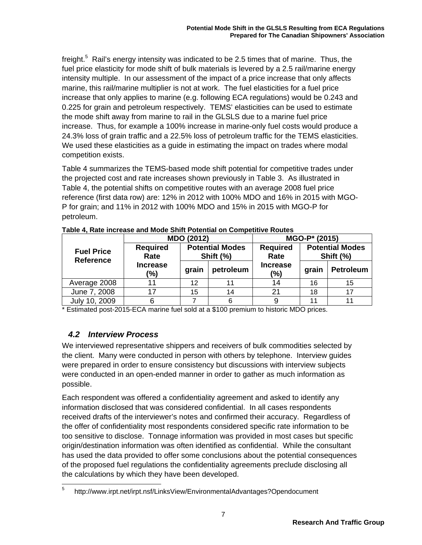freight.<sup>5</sup> Rail's energy intensity was indicated to be 2.5 times that of marine. Thus, the fuel price elasticity for mode shift of bulk materials is levered by a 2.5 rail/marine energy intensity multiple. In our assessment of the impact of a price increase that only affects marine, this rail/marine multiplier is not at work. The fuel elasticities for a fuel price increase that only applies to marine (e.g. following ECA regulations) would be 0.243 and 0.225 for grain and petroleum respectively. TEMS' elasticities can be used to estimate the mode shift away from marine to rail in the GLSLS due to a marine fuel price increase. Thus, for example a 100% increase in marine-only fuel costs would produce a 24.3% loss of grain traffic and a 22.5% loss of petroleum traffic for the TEMS elasticities. We used these elasticities as a guide in estimating the impact on trades where modal competition exists.

Table 4 summarizes the TEMS-based mode shift potential for competitive trades under the projected cost and rate increases shown previously in Table 3. As illustrated in Table 4, the potential shifts on competitive routes with an average 2008 fuel price reference (first data row) are: 12% in 2012 with 100% MDO and 16% in 2015 with MGO-P for grain; and 11% in 2012 with 100% MDO and 15% in 2015 with MGO-P for petroleum.

|                                       |                                 | MDO (2012)                          |           | MGO-P* (2015)             |       |                  |  |  |  |                         |  |                                     |
|---------------------------------------|---------------------------------|-------------------------------------|-----------|---------------------------|-------|------------------|--|--|--|-------------------------|--|-------------------------------------|
| <b>Fuel Price</b><br><b>Reference</b> | <b>Required</b><br>Rate         | <b>Potential Modes</b><br>Shift (%) |           |                           |       |                  |  |  |  | <b>Required</b><br>Rate |  | <b>Potential Modes</b><br>Shift (%) |
|                                       | <b>Increase</b><br>grain<br>(%) |                                     | petroleum | <b>Increase</b><br>$(\%)$ | grain | <b>Petroleum</b> |  |  |  |                         |  |                                     |
| Average 2008                          |                                 | 12                                  | 11        | 14                        | 16    | 15               |  |  |  |                         |  |                                     |
| June 7, 2008                          | 17                              | 15                                  | 14        | 21                        | 18    |                  |  |  |  |                         |  |                                     |
| July 10, 2009                         |                                 |                                     | 6         |                           | 11    |                  |  |  |  |                         |  |                                     |

**Table 4, Rate increase and Mode Shift Potential on Competitive Routes** 

\* Estimated post-2015-ECA marine fuel sold at a \$100 premium to historic MDO prices.

### *4.2 Interview Process*

We interviewed representative shippers and receivers of bulk commodities selected by the client. Many were conducted in person with others by telephone. Interview guides were prepared in order to ensure consistency but discussions with interview subjects were conducted in an open-ended manner in order to gather as much information as possible.

Each respondent was offered a confidentiality agreement and asked to identify any information disclosed that was considered confidential. In all cases respondents received drafts of the interviewer's notes and confirmed their accuracy. Regardless of the offer of confidentiality most respondents considered specific rate information to be too sensitive to disclose. Tonnage information was provided in most cases but specific origin/destination information was often identified as confidential. While the consultant has used the data provided to offer some conclusions about the potential consequences of the proposed fuel regulations the confidentiality agreements preclude disclosing all the calculations by which they have been developed.

<sup>-&</sup>lt;br>5 http://www.irpt.net/irpt.nsf/LinksView/EnvironmentalAdvantages?Opendocument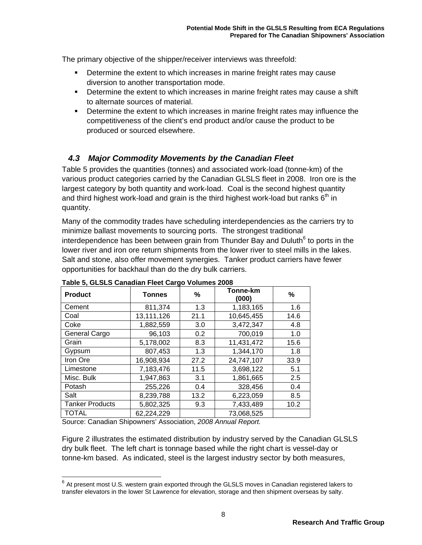The primary objective of the shipper/receiver interviews was threefold:

- Determine the extent to which increases in marine freight rates may cause diversion to another transportation mode.
- **Determine the extent to which increases in marine freight rates may cause a shift** to alternate sources of material.
- **Determine the extent to which increases in marine freight rates may influence the** competitiveness of the client's end product and/or cause the product to be produced or sourced elsewhere.

### *4.3 Major Commodity Movements by the Canadian Fleet*

Table 5 provides the quantities (tonnes) and associated work-load (tonne-km) of the various product categories carried by the Canadian GLSLS fleet in 2008. Iron ore is the largest category by both quantity and work-load. Coal is the second highest quantity and third highest work-load and grain is the third highest work-load but ranks  $6<sup>th</sup>$  in quantity.

Many of the commodity trades have scheduling interdependencies as the carriers try to minimize ballast movements to sourcing ports. The strongest traditional interdependence has been between grain from Thunder Bay and Duluth $^6$  to ports in the lower river and iron ore return shipments from the lower river to steel mills in the lakes. Salt and stone, also offer movement synergies. Tanker product carriers have fewer opportunities for backhaul than do the dry bulk carriers.

| <b>Product</b>         | <b>Tonnes</b> | %                 | Tonne-km<br>(000) | %    |
|------------------------|---------------|-------------------|-------------------|------|
| Cement                 | 811,374       | 1.3               | 1,183,165         | 1.6  |
| Coal                   | 13,111,126    | 21.1              | 10,645,455        | 14.6 |
| Coke                   | 1,882,559     | 3.0               | 3,472,347         | 4.8  |
| General Cargo          | 96,103        | 0.2               | 700,019           | 1.0  |
| Grain                  | 5,178,002     | 11,431,472<br>8.3 |                   | 15.6 |
| Gypsum                 | 807,453       | 1.3               | 1,344,170         | 1.8  |
| Iron Ore               | 16,908,934    | 27.2              | 24,747,107        | 33.9 |
| Limestone              | 7,183,476     | 11.5              | 3,698,122         | 5.1  |
| Misc. Bulk             | 1,947,863     | 3.1               | 1,861,665         | 2.5  |
| Potash                 | 255,226       | 0.4               | 328,456           | 0.4  |
| Salt                   | 8,239,788     | 13.2              | 6,223,059         | 8.5  |
| <b>Tanker Products</b> | 5,802,325     | 9.3               | 7,433,489         | 10.2 |
| <b>TOTAL</b>           | 62,224,229    |                   | 73,068,525        |      |

#### **Table 5, GLSLS Canadian Fleet Cargo Volumes 2008**

Source: Canadian Shipowners' Association, *2008 Annual Report.*

-

Figure 2 illustrates the estimated distribution by industry served by the Canadian GLSLS dry bulk fleet. The left chart is tonnage based while the right chart is vessel-day or tonne-km based. As indicated, steel is the largest industry sector by both measures,

 $6$  At present most U.S. western grain exported through the GLSLS moves in Canadian registered lakers to transfer elevators in the lower St Lawrence for elevation, storage and then shipment overseas by salty.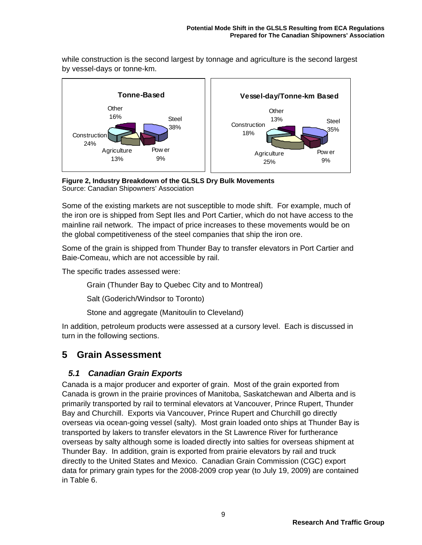while construction is the second largest by tonnage and agriculture is the second largest by vessel-days or tonne-km.



**Figure 2, Industry Breakdown of the GLSLS Dry Bulk Movements**  Source: Canadian Shipowners' Association

Some of the existing markets are not susceptible to mode shift. For example, much of the iron ore is shipped from Sept Iles and Port Cartier, which do not have access to the mainline rail network. The impact of price increases to these movements would be on the global competitiveness of the steel companies that ship the iron ore.

Some of the grain is shipped from Thunder Bay to transfer elevators in Port Cartier and Baie-Comeau, which are not accessible by rail.

The specific trades assessed were:

Grain (Thunder Bay to Quebec City and to Montreal)

Salt (Goderich/Windsor to Toronto)

Stone and aggregate (Manitoulin to Cleveland)

In addition, petroleum products were assessed at a cursory level. Each is discussed in turn in the following sections.

## **5 Grain Assessment**

### *5.1 Canadian Grain Exports*

Canada is a major producer and exporter of grain. Most of the grain exported from Canada is grown in the prairie provinces of Manitoba, Saskatchewan and Alberta and is primarily transported by rail to terminal elevators at Vancouver, Prince Rupert, Thunder Bay and Churchill. Exports via Vancouver, Prince Rupert and Churchill go directly overseas via ocean-going vessel (salty). Most grain loaded onto ships at Thunder Bay is transported by lakers to transfer elevators in the St Lawrence River for furtherance overseas by salty although some is loaded directly into salties for overseas shipment at Thunder Bay. In addition, grain is exported from prairie elevators by rail and truck directly to the United States and Mexico. Canadian Grain Commission (CGC) export data for primary grain types for the 2008-2009 crop year (to July 19, 2009) are contained in Table 6.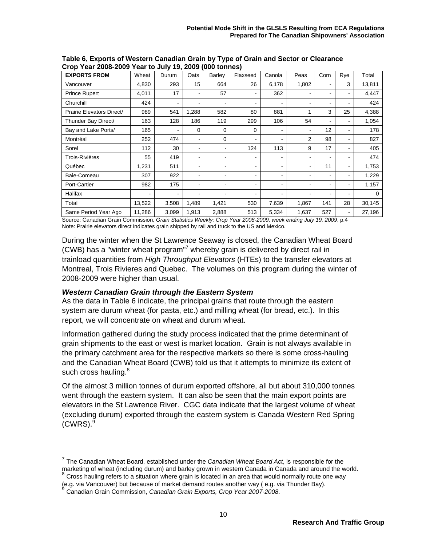| <b>EXPORTS FROM</b>       | Wheat  | Durum | Oats                     | Barley         | Flaxseed | Canola                   | Peas  | Corn           | Rye | Total    |
|---------------------------|--------|-------|--------------------------|----------------|----------|--------------------------|-------|----------------|-----|----------|
| Vancouver                 | 4,830  | 293   | 15                       | 664            | 26       | 6,178                    | 1,802 |                | 3   | 13,811   |
| <b>Prince Rupert</b>      | 4,011  | 17    |                          | 57             |          | 362                      |       | ۰              |     | 4,447    |
| Churchill                 | 424    | ٠     | ۰                        | $\blacksquare$ |          | $\overline{\phantom{0}}$ |       |                |     | 424      |
| Prairie Elevators Direct/ | 989    | 541   | 1,288                    | 582            | 80       | 881                      |       | 3              | 25  | 4,388    |
| Thunder Bay Direct/       | 163    | 128   | 186                      | 119            | 299      | 106                      | 54    | ٠              |     | 1,054    |
| Bay and Lake Ports/       | 165    | ۰     | $\Omega$                 | 0              | 0        | -                        |       | 12             | ۰   | 178      |
| Montréal                  | 252    | 474   | $\blacksquare$           | 0              |          |                          | 2     | 98             |     | 827      |
| Sorel                     | 112    | 30    | $\overline{\phantom{0}}$ | $\blacksquare$ | 124      | 113                      | 9     | 17             |     | 405      |
| Trois-Rivières            | 55     | 419   | ۰                        |                |          | ۰                        |       | ۰              |     | 474      |
| Québec                    | 1,231  | 511   |                          | ٠              |          |                          |       | 11             |     | 1,753    |
| Baie-Comeau               | 307    | 922   | ۰                        | $\blacksquare$ |          |                          |       |                |     | 1,229    |
| Port-Cartier              | 982    | 175   | $\overline{\phantom{0}}$ | $\blacksquare$ |          | -                        |       | $\blacksquare$ |     | 1,157    |
| Halifax                   | ۰      |       |                          | $\blacksquare$ |          |                          |       | ۰              |     | $\Omega$ |
| Total                     | 13,522 | 3,508 | 1,489                    | 1,421          | 530      | 7,639                    | 1,867 | 141            | 28  | 30,145   |
| Same Period Year Ago      | 11,286 | 3,099 | 1,913                    | 2,888          | 513      | 5,334                    | 1,637 | 527            |     | 27,196   |

**Table 6, Exports of Western Canadian Grain by Type of Grain and Sector or Clearance Crop Year 2008-2009 Year to July 19, 2009 (000 tonnes)** 

Source: Canadian Grain Commission, *Grain Statistics Weekly: Crop Year 2008-2009, week ending July 19, 2009*, p.4 Note: Prairie elevators direct indicates grain shipped by rail and truck to the US and Mexico.

During the winter when the St Lawrence Seaway is closed, the Canadian Wheat Board (CWB) has a "winter wheat program"<sup>7</sup> whereby grain is delivered by direct rail in trainload quantities from *High Throughput Elevators* (HTEs) to the transfer elevators at Montreal, Trois Rivieres and Quebec. The volumes on this program during the winter of 2008-2009 were higher than usual.

#### *Western Canadian Grain through the Eastern System*

As the data in Table 6 indicate, the principal grains that route through the eastern system are durum wheat (for pasta, etc.) and milling wheat (for bread, etc.). In this report, we will concentrate on wheat and durum wheat.

Information gathered during the study process indicated that the prime determinant of grain shipments to the east or west is market location. Grain is not always available in the primary catchment area for the respective markets so there is some cross-hauling and the Canadian Wheat Board (CWB) told us that it attempts to minimize its extent of such cross hauling.<sup>8</sup>

Of the almost 3 million tonnes of durum exported offshore, all but about 310,000 tonnes went through the eastern system. It can also be seen that the main export points are elevators in the St Lawrence River. CGC data indicate that the largest volume of wheat (excluding durum) exported through the eastern system is Canada Western Red Spring  $(CWRS).<sup>9</sup>$ 

-

<sup>7</sup> The Canadian Wheat Board, established under the *Canadian Wheat Board Act*, is responsible for the marketing of wheat (including durum) and barley grown in western Canada in Canada and around the world. Cross hauling refers to a situation where grain is located in an area that would normally route one way

<sup>(</sup>e.g. via Vancouver) but because of market demand routes another way ( e.g. via Thunder Bay). <sup>9</sup> Canadian Grain Commission, *Canadian Grain Exports, Crop Year 2007-2008*.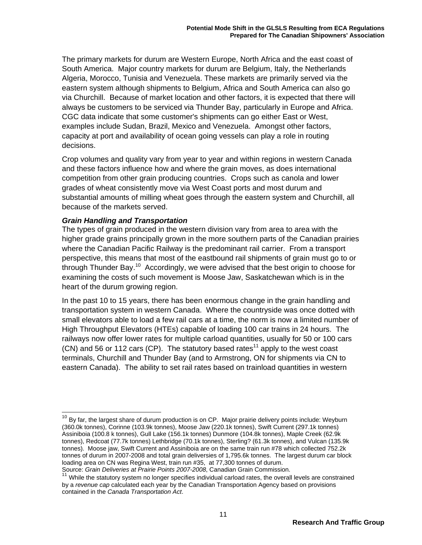The primary markets for durum are Western Europe, North Africa and the east coast of South America. Major country markets for durum are Belgium, Italy, the Netherlands Algeria, Morocco, Tunisia and Venezuela. These markets are primarily served via the eastern system although shipments to Belgium, Africa and South America can also go via Churchill. Because of market location and other factors, it is expected that there will always be customers to be serviced via Thunder Bay, particularly in Europe and Africa. CGC data indicate that some customer's shipments can go either East or West, examples include Sudan, Brazil, Mexico and Venezuela. Amongst other factors, capacity at port and availability of ocean going vessels can play a role in routing decisions.

Crop volumes and quality vary from year to year and within regions in western Canada and these factors influence how and where the grain moves, as does international competition from other grain producing countries. Crops such as canola and lower grades of wheat consistently move via West Coast ports and most durum and substantial amounts of milling wheat goes through the eastern system and Churchill, all because of the markets served.

#### *Grain Handling and Transportation*

-

The types of grain produced in the western division vary from area to area with the higher grade grains principally grown in the more southern parts of the Canadian prairies where the Canadian Pacific Railway is the predominant rail carrier. From a transport perspective, this means that most of the eastbound rail shipments of grain must go to or through Thunder Bay.<sup>10</sup> Accordingly, we were advised that the best origin to choose for examining the costs of such movement is Moose Jaw, Saskatchewan which is in the heart of the durum growing region.

In the past 10 to 15 years, there has been enormous change in the grain handling and transportation system in western Canada. Where the countryside was once dotted with small elevators able to load a few rail cars at a time, the norm is now a limited number of High Throughput Elevators (HTEs) capable of loading 100 car trains in 24 hours. The railways now offer lower rates for multiple carload quantities, usually for 50 or 100 cars (CN) and 56 or 112 cars (CP). The statutory based rates<sup>11</sup> apply to the west coast terminals, Churchill and Thunder Bay (and to Armstrong, ON for shipments via CN to eastern Canada). The ability to set rail rates based on trainload quantities in western

 $10$  By far, the largest share of durum production is on CP. Major prairie delivery points include: Weyburn (360.0k tonnes), Corinne (103.9k tonnes), Moose Jaw (220.1k tonnes), Swift Current (297.1k tonnes) Assiniboia (100.8 k tonnes), Gull Lake (156.1k tonnes) Dunmore (104.8k tonnes), Maple Creek (62.9k tonnes), Redcoat (77.7k tonnes) Lethbridge (70.1k tonnes), Sterling? (61.3k tonnes), and Vulcan (135.9k tonnes). Moose jaw, Swift Current and Assiniboia are on the same train run #78 which collected 752.2k tonnes of durum in 2007-2008 and total grain deliversies of 1,795.6k tonnes. The largest durum car block loading area on CN was Regina West, train run #35, at 77,300 tonnes of durum. Source: *Grain Deliveries at Prairie Points 2007-2008*, Canadian Grain Commission.

 $11$  While the statutory system no longer specifies individual carload rates, the overall levels are constrained by a *revenue cap* calculated each year by the Canadian Transportation Agency based on provisions contained in the *Canada Transportation Act*.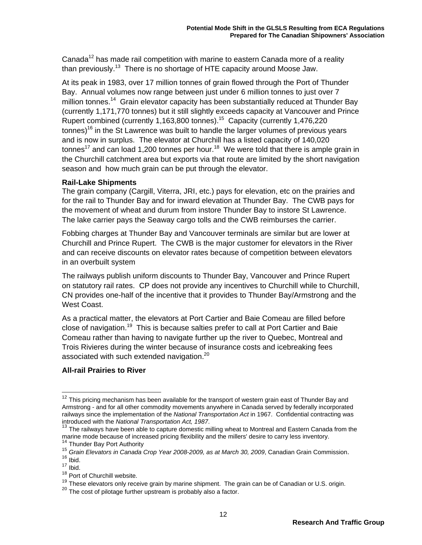Canada<sup>12</sup> has made rail competition with marine to eastern Canada more of a reality than previously.<sup>13</sup> There is no shortage of HTE capacity around Moose Jaw.

At its peak in 1983, over 17 million tonnes of grain flowed through the Port of Thunder Bay. Annual volumes now range between just under 6 million tonnes to just over 7 million tonnes.<sup>14</sup> Grain elevator capacity has been substantially reduced at Thunder Bay (currently 1,171,770 tonnes) but it still slightly exceeds capacity at Vancouver and Prince Rupert combined (currently 1,163,800 tonnes).<sup>15</sup> Capacity (currently 1,476,220 tonnes)<sup>16</sup> in the St Lawrence was built to handle the larger volumes of previous vears and is now in surplus. The elevator at Churchill has a listed capacity of 140,020 tonnes<sup>17</sup> and can load 1,200 tonnes per hour.<sup>18</sup> We were told that there is ample grain in the Churchill catchment area but exports via that route are limited by the short navigation season and how much grain can be put through the elevator.

#### **Rail-Lake Shipments**

The grain company (Cargill, Viterra, JRI, etc.) pays for elevation, etc on the prairies and for the rail to Thunder Bay and for inward elevation at Thunder Bay. The CWB pays for the movement of wheat and durum from instore Thunder Bay to instore St Lawrence. The lake carrier pays the Seaway cargo tolls and the CWB reimburses the carrier.

Fobbing charges at Thunder Bay and Vancouver terminals are similar but are lower at Churchill and Prince Rupert. The CWB is the major customer for elevators in the River and can receive discounts on elevator rates because of competition between elevators in an overbuilt system

The railways publish uniform discounts to Thunder Bay, Vancouver and Prince Rupert on statutory rail rates. CP does not provide any incentives to Churchill while to Churchill, CN provides one-half of the incentive that it provides to Thunder Bay/Armstrong and the West Coast.

As a practical matter, the elevators at Port Cartier and Baie Comeau are filled before close of navigation.<sup>19</sup> This is because salties prefer to call at Port Cartier and Baie Comeau rather than having to navigate further up the river to Quebec, Montreal and Trois Rivieres during the winter because of insurance costs and icebreaking fees associated with such extended navigation.<sup>20</sup>

### **All-rail Prairies to River**

 $12$  This pricing mechanism has been available for the transport of western grain east of Thunder Bay and Armstrong - and for all other commodity movements anywhere in Canada served by federally incorporated railways since the implementation of the *National Transportation Act* in 1967. Confidential contracting was

<sup>&</sup>lt;sup>13</sup> The railways have been able to capture domestic milling wheat to Montreal and Eastern Canada from the marine mode because of increased pricing flexibility and the millers' desire to carry less inventory.<br><sup>14</sup> Thunder Bay Port Authority

<sup>&</sup>lt;sup>15</sup> Grain Elevators in Canada Crop Year 2008-2009, as at March 30, 2009, Canadian Grain Commission.<br><sup>16</sup> Ibid.

 $17 \overline{\mathsf{libid}}$ .

<sup>&</sup>lt;sup>18</sup> Port of Churchill website.

<sup>&</sup>lt;sup>19</sup> These elevators only receive grain by marine shipment. The grain can be of Canadian or U.S. origin. <sup>20</sup> The cost of pilotage further upstream is probably also a factor.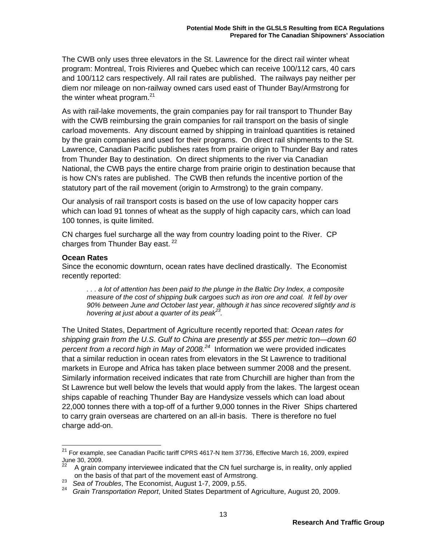The CWB only uses three elevators in the St. Lawrence for the direct rail winter wheat program: Montreal, Trois Rivieres and Quebec which can receive 100/112 cars, 40 cars and 100/112 cars respectively. All rail rates are published. The railways pay neither per diem nor mileage on non-railway owned cars used east of Thunder Bay/Armstrong for the winter wheat program. $21$ 

As with rail-lake movements, the grain companies pay for rail transport to Thunder Bay with the CWB reimbursing the grain companies for rail transport on the basis of single carload movements. Any discount earned by shipping in trainload quantities is retained by the grain companies and used for their programs. On direct rail shipments to the St. Lawrence, Canadian Pacific publishes rates from prairie origin to Thunder Bay and rates from Thunder Bay to destination. On direct shipments to the river via Canadian National, the CWB pays the entire charge from prairie origin to destination because that is how CN's rates are published. The CWB then refunds the incentive portion of the statutory part of the rail movement (origin to Armstrong) to the grain company.

Our analysis of rail transport costs is based on the use of low capacity hopper cars which can load 91 tonnes of wheat as the supply of high capacity cars, which can load 100 tonnes, is quite limited.

CN charges fuel surcharge all the way from country loading point to the River. CP charges from Thunder Bay east.<sup>22</sup>

#### **Ocean Rates**

 $\overline{\phantom{a}}$ 

Since the economic downturn, ocean rates have declined drastically. The Economist recently reported:

*. . . a lot of attention has been paid to the plunge in the Baltic Dry Index, a composite measure of the cost of shipping bulk cargoes such as iron ore and coal. It fell by over 90% between June and October last year, although it has since recovered slightly and is hovering at just about a quarter of its peak23.* 

The United States, Department of Agriculture recently reported that: *Ocean rates for shipping grain from the U.S. Gulf to China are presently at \$55 per metric ton—down 60 percent from a record high in May of 2008.<sup>24</sup>* Information we were provided indicates that a similar reduction in ocean rates from elevators in the St Lawrence to traditional markets in Europe and Africa has taken place between summer 2008 and the present. Similarly information received indicates that rate from Churchill are higher than from the St Lawrence but well below the levels that would apply from the lakes. The largest ocean ships capable of reaching Thunder Bay are Handysize vessels which can load about 22,000 tonnes there with a top-off of a further 9,000 tonnes in the River Ships chartered to carry grain overseas are chartered on an all-in basis. There is therefore no fuel charge add-on.

 $^{21}$  For example, see Canadian Pacific tariff CPRS 4617-N Item 37736, Effective March 16, 2009, expired  $J$ une 30, 2009.

<sup>22</sup> A grain company interviewee indicated that the CN fuel surcharge is, in reality, only applied

on the basis of that part of the movement east of Armstrong. 23 *Sea of Troubles*, The Economist, August 1-7, 2009, p.55. 24 *Grain Transportation Report*, United States Department of Agriculture, August 20, 2009.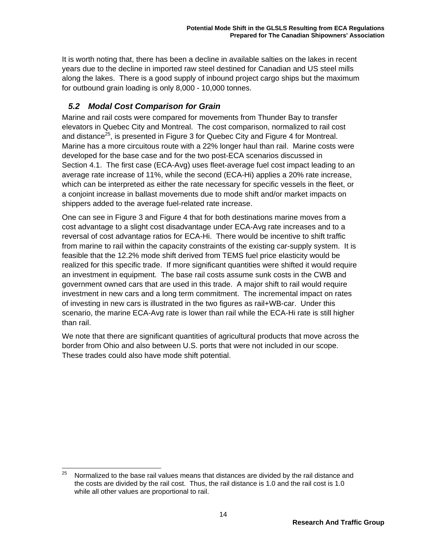It is worth noting that, there has been a decline in available salties on the lakes in recent years due to the decline in imported raw steel destined for Canadian and US steel mills along the lakes. There is a good supply of inbound project cargo ships but the maximum for outbound grain loading is only 8,000 - 10,000 tonnes.

## *5.2 Modal Cost Comparison for Grain*

Marine and rail costs were compared for movements from Thunder Bay to transfer elevators in Quebec City and Montreal. The cost comparison, normalized to rail cost and distance<sup>25</sup>, is presented in Figure 3 for Quebec City and Figure 4 for Montreal. Marine has a more circuitous route with a 22% longer haul than rail. Marine costs were developed for the base case and for the two post-ECA scenarios discussed in Section 4.1. The first case (ECA-Avg) uses fleet-average fuel cost impact leading to an average rate increase of 11%, while the second (ECA-Hi) applies a 20% rate increase, which can be interpreted as either the rate necessary for specific vessels in the fleet, or a conjoint increase in ballast movements due to mode shift and/or market impacts on shippers added to the average fuel-related rate increase.

One can see in Figure 3 and Figure 4 that for both destinations marine moves from a cost advantage to a slight cost disadvantage under ECA-Avg rate increases and to a reversal of cost advantage ratios for ECA-Hi. There would be incentive to shift traffic from marine to rail within the capacity constraints of the existing car-supply system. It is feasible that the 12.2% mode shift derived from TEMS fuel price elasticity would be realized for this specific trade. If more significant quantities were shifted it would require an investment in equipment. The base rail costs assume sunk costs in the CWB and government owned cars that are used in this trade. A major shift to rail would require investment in new cars and a long term commitment. The incremental impact on rates of investing in new cars is illustrated in the two figures as rail+WB-car. Under this scenario, the marine ECA-Avg rate is lower than rail while the ECA-Hi rate is still higher than rail.

We note that there are significant quantities of agricultural products that move across the border from Ohio and also between U.S. ports that were not included in our scope. These trades could also have mode shift potential.

<sup>25</sup> Normalized to the base rail values means that distances are divided by the rail distance and the costs are divided by the rail cost. Thus, the rail distance is 1.0 and the rail cost is 1.0 while all other values are proportional to rail.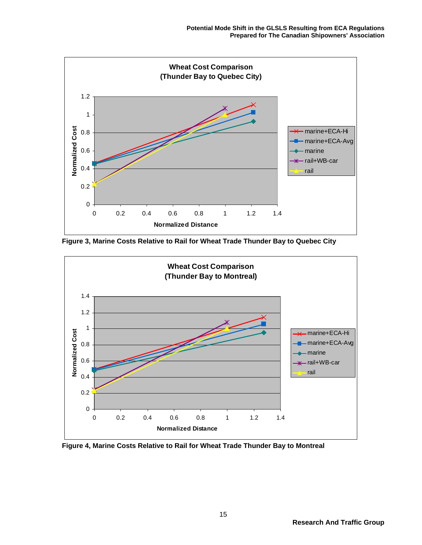

**Figure 3, Marine Costs Relative to Rail for Wheat Trade Thunder Bay to Quebec City** 



**Figure 4, Marine Costs Relative to Rail for Wheat Trade Thunder Bay to Montreal**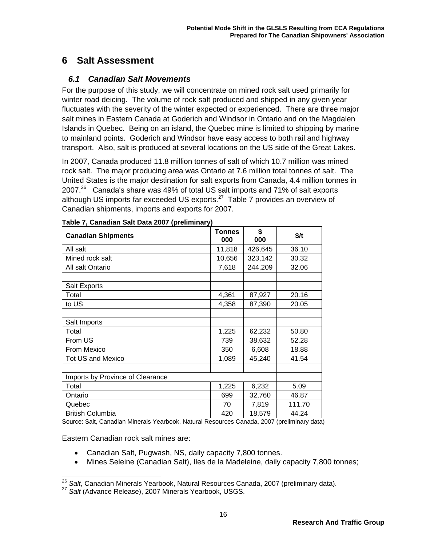## **6 Salt Assessment**

### *6.1 Canadian Salt Movements*

For the purpose of this study, we will concentrate on mined rock salt used primarily for winter road deicing. The volume of rock salt produced and shipped in any given year fluctuates with the severity of the winter expected or experienced. There are three major salt mines in Eastern Canada at Goderich and Windsor in Ontario and on the Magdalen Islands in Quebec. Being on an island, the Quebec mine is limited to shipping by marine to mainland points. Goderich and Windsor have easy access to both rail and highway transport. Also, salt is produced at several locations on the US side of the Great Lakes.

In 2007, Canada produced 11.8 million tonnes of salt of which 10.7 million was mined rock salt. The major producing area was Ontario at 7.6 million total tonnes of salt. The United States is the major destination for salt exports from Canada, 4.4 million tonnes in 2007. $^{26}$  Canada's share was 49% of total US salt imports and 71% of salt exports although US imports far exceeded US exports. $27$  Table 7 provides an overview of Canadian shipments, imports and exports for 2007.

| <b>Canadian Shipments</b>        | <b>Tonnes</b><br>000 | \$<br>000 | $$$ /t |
|----------------------------------|----------------------|-----------|--------|
| All salt                         | 11,818               | 426,645   | 36.10  |
| Mined rock salt                  | 10,656               | 323,142   | 30.32  |
| All salt Ontario                 | 7,618                | 244,209   | 32.06  |
|                                  |                      |           |        |
| Salt Exports                     |                      |           |        |
| Total                            | 4,361                | 87,927    | 20.16  |
| to US                            | 4,358                | 87,390    | 20.05  |
|                                  |                      |           |        |
| Salt Imports                     |                      |           |        |
| Total                            | 1,225                | 62,232    | 50.80  |
| From US                          | 739                  | 38,632    | 52.28  |
| From Mexico                      | 350                  | 6,608     | 18.88  |
| <b>Tot US and Mexico</b>         | 1,089                | 45,240    | 41.54  |
|                                  |                      |           |        |
| Imports by Province of Clearance |                      |           |        |
| Total                            | 1,225                | 6,232     | 5.09   |
| Ontario                          | 699                  | 32,760    | 46.87  |
| Quebec                           | 70                   | 7,819     | 111.70 |
| <b>British Columbia</b>          | 420                  | 18,579    | 44.24  |

#### **Table 7, Canadian Salt Data 2007 (preliminary)**

Source: Salt, Canadian Minerals Yearbook, Natural Resources Canada, 2007 (preliminary data)

Eastern Canadian rock salt mines are:

-

- Canadian Salt, Pugwash, NS, daily capacity 7,800 tonnes.
- Mines Seleine (Canadian Salt), Iles de la Madeleine, daily capacity 7,800 tonnes;

<sup>&</sup>lt;sup>26</sup> *Salt*, Canadian Minerals Yearbook, Natural Resources Canada, 2007 (preliminary data).<br><sup>27</sup> *Salt* (Advance Release), 2007 Minerals Yearbook, USGS.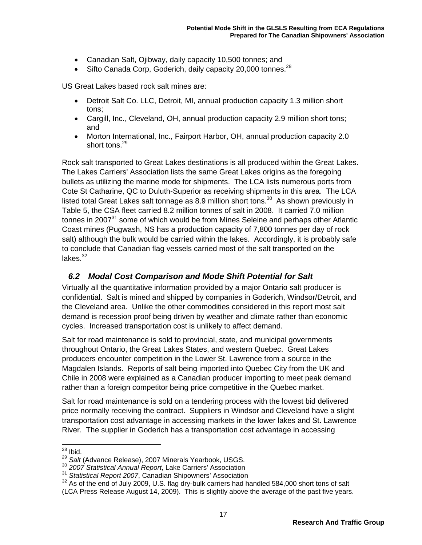- Canadian Salt, Ojibway, daily capacity 10,500 tonnes; and
- Sifto Canada Corp, Goderich, daily capacity 20,000 tonnes.<sup>28</sup>

US Great Lakes based rock salt mines are:

- Detroit Salt Co. LLC, Detroit, MI, annual production capacity 1.3 million short tons;
- Cargill, Inc., Cleveland, OH, annual production capacity 2.9 million short tons; and
- Morton International, Inc., Fairport Harbor, OH, annual production capacity 2.0 short tons.<sup>29</sup>

Rock salt transported to Great Lakes destinations is all produced within the Great Lakes. The Lakes Carriers' Association lists the same Great Lakes origins as the foregoing bullets as utilizing the marine mode for shipments. The LCA lists numerous ports from Cote St Catharine, QC to Duluth-Superior as receiving shipments in this area. The LCA listed total Great Lakes salt tonnage as 8.9 million short tons. $30$  As shown previously in Table 5, the CSA fleet carried 8.2 million tonnes of salt in 2008. It carried 7.0 million tonnes in 2007 $31$  some of which would be from Mines Seleine and perhaps other Atlantic Coast mines (Pugwash, NS has a production capacity of 7,800 tonnes per day of rock salt) although the bulk would be carried within the lakes. Accordingly, it is probably safe to conclude that Canadian flag vessels carried most of the salt transported on the lakes. $32$ 

### *6.2 Modal Cost Comparison and Mode Shift Potential for Salt*

Virtually all the quantitative information provided by a major Ontario salt producer is confidential. Salt is mined and shipped by companies in Goderich, Windsor/Detroit, and the Cleveland area. Unlike the other commodities considered in this report most salt demand is recession proof being driven by weather and climate rather than economic cycles. Increased transportation cost is unlikely to affect demand.

Salt for road maintenance is sold to provincial, state, and municipal governments throughout Ontario, the Great Lakes States, and western Quebec. Great Lakes producers encounter competition in the Lower St. Lawrence from a source in the Magdalen Islands. Reports of salt being imported into Quebec City from the UK and Chile in 2008 were explained as a Canadian producer importing to meet peak demand rather than a foreign competitor being price competitive in the Quebec market.

Salt for road maintenance is sold on a tendering process with the lowest bid delivered price normally receiving the contract. Suppliers in Windsor and Cleveland have a slight transportation cost advantage in accessing markets in the lower lakes and St. Lawrence River. The supplier in Goderich has a transportation cost advantage in accessing

  $^{28}$  Ibid.

<sup>&</sup>lt;sup>29</sup> Salt (Advance Release), 2007 Minerals Yearbook, USGS.<br><sup>30</sup> 2007 Statistical Annual Report, Lake Carriers' Association<br><sup>31</sup> Statistical Report 2007, Canadian Shipowners' Association

<sup>&</sup>lt;sup>32</sup> As of the end of July 2009, U.S. flag dry-bulk carriers had handled 584,000 short tons of salt

<sup>(</sup>LCA Press Release August 14, 2009). This is slightly above the average of the past five years.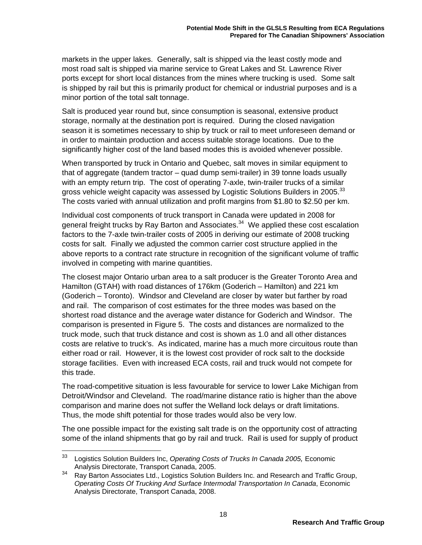markets in the upper lakes. Generally, salt is shipped via the least costly mode and most road salt is shipped via marine service to Great Lakes and St. Lawrence River ports except for short local distances from the mines where trucking is used. Some salt is shipped by rail but this is primarily product for chemical or industrial purposes and is a minor portion of the total salt tonnage.

Salt is produced year round but, since consumption is seasonal, extensive product storage, normally at the destination port is required. During the closed navigation season it is sometimes necessary to ship by truck or rail to meet unforeseen demand or in order to maintain production and access suitable storage locations. Due to the significantly higher cost of the land based modes this is avoided whenever possible.

When transported by truck in Ontario and Quebec, salt moves in similar equipment to that of aggregate (tandem tractor – quad dump semi-trailer) in 39 tonne loads usually with an empty return trip. The cost of operating 7-axle, twin-trailer trucks of a similar gross vehicle weight capacity was assessed by Logistic Solutions Builders in 2005.<sup>33</sup> The costs varied with annual utilization and profit margins from \$1.80 to \$2.50 per km.

Individual cost components of truck transport in Canada were updated in 2008 for general freight trucks by Ray Barton and Associates.<sup>34</sup> We applied these cost escalation factors to the 7-axle twin-trailer costs of 2005 in deriving our estimate of 2008 trucking costs for salt. Finally we adjusted the common carrier cost structure applied in the above reports to a contract rate structure in recognition of the significant volume of traffic involved in competing with marine quantities.

The closest major Ontario urban area to a salt producer is the Greater Toronto Area and Hamilton (GTAH) with road distances of 176km (Goderich – Hamilton) and 221 km (Goderich – Toronto). Windsor and Cleveland are closer by water but farther by road and rail. The comparison of cost estimates for the three modes was based on the shortest road distance and the average water distance for Goderich and Windsor. The comparison is presented in Figure 5. The costs and distances are normalized to the truck mode, such that truck distance and cost is shown as 1.0 and all other distances costs are relative to truck's. As indicated, marine has a much more circuitous route than either road or rail. However, it is the lowest cost provider of rock salt to the dockside storage facilities. Even with increased ECA costs, rail and truck would not compete for this trade.

The road-competitive situation is less favourable for service to lower Lake Michigan from Detroit/Windsor and Cleveland. The road/marine distance ratio is higher than the above comparison and marine does not suffer the Welland lock delays or draft limitations. Thus, the mode shift potential for those trades would also be very low.

The one possible impact for the existing salt trade is on the opportunity cost of attracting some of the inland shipments that go by rail and truck. Rail is used for supply of product

<sup>33</sup> 33 Logistics Solution Builders Inc, *Operating Costs of Trucks In Canada 2005,* Economic Analysis Directorate, Transport Canada, 2005.

<sup>&</sup>lt;sup>34</sup> Ray Barton Associates Ltd., Logistics Solution Builders Inc. and Research and Traffic Group, *Operating Costs Of Trucking And Surface Intermodal Transportation In Canada*, Economic Analysis Directorate, Transport Canada, 2008.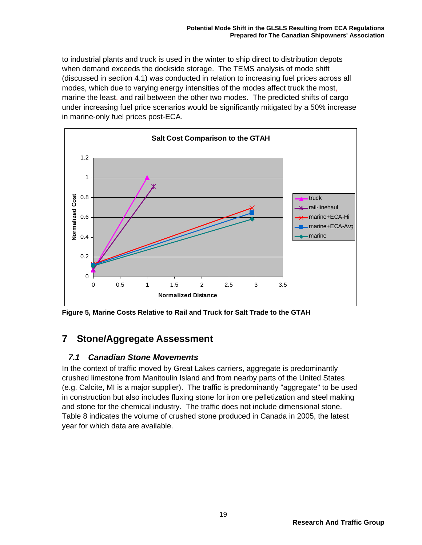to industrial plants and truck is used in the winter to ship direct to distribution depots when demand exceeds the dockside storage. The TEMS analysis of mode shift (discussed in section 4.1) was conducted in relation to increasing fuel prices across all modes, which due to varying energy intensities of the modes affect truck the most, marine the least, and rail between the other two modes. The predicted shifts of cargo under increasing fuel price scenarios would be significantly mitigated by a 50% increase in marine-only fuel prices post-ECA.



**Figure 5, Marine Costs Relative to Rail and Truck for Salt Trade to the GTAH** 

## **7 Stone/Aggregate Assessment**

### *7.1 Canadian Stone Movements*

In the context of traffic moved by Great Lakes carriers, aggregate is predominantly crushed limestone from Manitoulin Island and from nearby parts of the United States (e.g. Calcite, MI is a major supplier). The traffic is predominantly "aggregate" to be used in construction but also includes fluxing stone for iron ore pelletization and steel making and stone for the chemical industry. The traffic does not include dimensional stone. Table 8 indicates the volume of crushed stone produced in Canada in 2005, the latest year for which data are available.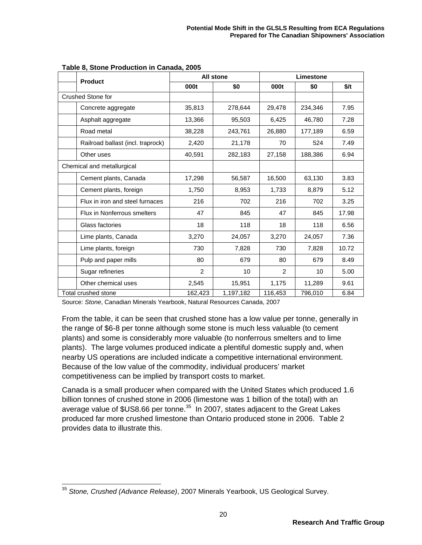| <b>Product</b>                    |         | All stone | Limestone |         |       |  |
|-----------------------------------|---------|-----------|-----------|---------|-------|--|
|                                   | 000t    | \$0       | 000t      | \$0     | \$/t  |  |
| Crushed Stone for                 |         |           |           |         |       |  |
| Concrete aggregate                | 35,813  | 278,644   | 29,478    | 234,346 | 7.95  |  |
| Asphalt aggregate                 | 13,366  | 95,503    | 6,425     | 46,780  | 7.28  |  |
| Road metal                        | 38,228  | 243,761   | 26,880    | 177,189 | 6.59  |  |
| Railroad ballast (incl. traprock) | 2,420   | 21,178    | 70        | 524     | 7.49  |  |
| Other uses                        | 40,591  | 282,183   | 27,158    | 188,386 | 6.94  |  |
| Chemical and metallurgical        |         |           |           |         |       |  |
| Cement plants, Canada             | 17,298  | 56,587    | 16,500    | 63,130  | 3.83  |  |
| Cement plants, foreign            | 1,750   | 8,953     | 1,733     | 8,879   | 5.12  |  |
| Flux in iron and steel furnaces   | 216     | 702       | 216       | 702     | 3.25  |  |
| Flux in Nonferrous smelters       | 47      | 845       | 47        | 845     | 17.98 |  |
| Glass factories                   | 18      | 118       | 18        | 118     | 6.56  |  |
| Lime plants, Canada               | 3,270   | 24,057    | 3,270     | 24,057  | 7.36  |  |
| Lime plants, foreign              | 730     | 7,828     | 730       | 7,828   | 10.72 |  |
| Pulp and paper mills              | 80      | 679       | 80        | 679     | 8.49  |  |
| Sugar refineries                  | 2       | 10        | 2         | 10      | 5.00  |  |
| Other chemical uses               | 2,545   | 15,951    | 1,175     | 11,289  | 9.61  |  |
| Total crushed stone               | 162,423 | 1,197,182 | 116,453   | 796,010 | 6.84  |  |

**Table 8, Stone Production in Canada, 2005** 

Source: *Stone*, Canadian Minerals Yearbook, Natural Resources Canada, 2007

From the table, it can be seen that crushed stone has a low value per tonne, generally in the range of \$6-8 per tonne although some stone is much less valuable (to cement plants) and some is considerably more valuable (to nonferrous smelters and to lime plants). The large volumes produced indicate a plentiful domestic supply and, when nearby US operations are included indicate a competitive international environment. Because of the low value of the commodity, individual producers' market competitiveness can be implied by transport costs to market.

Canada is a small producer when compared with the United States which produced 1.6 billion tonnes of crushed stone in 2006 (limestone was 1 billion of the total) with an average value of \$US8.66 per tonne.<sup>35</sup> In 2007, states adjacent to the Great Lakes produced far more crushed limestone than Ontario produced stone in 2006. Table 2 provides data to illustrate this.

 <sup>35</sup> *Stone, Crushed (Advance Release)*, 2007 Minerals Yearbook, US Geological Survey.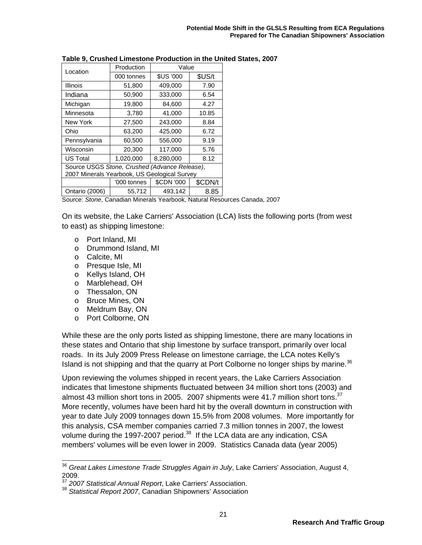| Location                                                                                      | Production  | Value             |         |
|-----------------------------------------------------------------------------------------------|-------------|-------------------|---------|
|                                                                                               | 000 tonnes  | <b>\$US '000</b>  | \$US/t  |
| <b>Illinois</b>                                                                               | 51,800      | 409,000           | 7.90    |
| Indiana                                                                                       | 50,900      | 333,000           | 6.54    |
| Michigan                                                                                      | 19,800      | 84,600            | 4.27    |
| Minnesota                                                                                     | 3,780       | 41,000            | 10.85   |
| New York                                                                                      | 27,500      | 243,000           | 8.84    |
| Ohio                                                                                          | 63,200      | 425,000           | 6.72    |
| Pennsylvania                                                                                  | 60,500      | 556,000           | 9.19    |
| Wisconsin                                                                                     | 20,300      | 117,000           | 5.76    |
| <b>US Total</b>                                                                               | 1,020,000   | 8,280,000         | 8.12    |
| Source USGS Stone, Crushed (Advance Release),<br>2007 Minerals Yearbook, US Geological Survey |             |                   |         |
|                                                                                               |             |                   |         |
|                                                                                               | '000 tonnes | <b>\$CDN '000</b> | \$CDN/t |
| Ontario (2006)                                                                                | 55,712      | 493,142           | 8.85    |

**Table 9, Crushed Limestone Production in the United States, 2007** 

Source: *Stone*, Canadian Minerals Yearbook, Natural Resources Canada, 2007

On its website, the Lake Carriers' Association (LCA) lists the following ports (from west to east) as shipping limestone:

- o Port Inland, MI
- o Drummond Island, MI
- o Calcite, MI

-

- o Presque Isle, MI
- o Kellys Island, OH
- o Marblehead, OH
- o Thessalon, ON
- o Bruce Mines, ON
- o Meldrum Bay, ON
- o Port Colborne, ON

While these are the only ports listed as shipping limestone, there are many locations in these states and Ontario that ship limestone by surface transport, primarily over local roads. In its July 2009 Press Release on limestone carriage, the LCA notes Kelly's Island is not shipping and that the quarry at Port Colborne no longer ships by marine.<sup>36</sup>

Upon reviewing the volumes shipped in recent years, the Lake Carriers Association indicates that limestone shipments fluctuated between 34 million short tons (2003) and almost 43 million short tons in 2005. 2007 shipments were 41.7 million short tons.<sup>37</sup> More recently, volumes have been hard hit by the overall downturn in construction with year to date July 2009 tonnages down 15.5% from 2008 volumes. More importantly for this analysis, CSA member companies carried 7.3 million tonnes in 2007, the lowest volume during the 1997-2007 period.<sup>38</sup> If the LCA data are any indication, CSA members' volumes will be even lower in 2009. Statistics Canada data (year 2005)

<sup>36</sup> *Great Lakes Limestone Trade Struggles Again in July*, Lake Carriers' Association, August 4, 2009.

<sup>37</sup> *2007 Statistical Annual Report*, Lake Carriers' Association.

<sup>38</sup> *Statistical Report 2007*, Canadian Shipowners' Association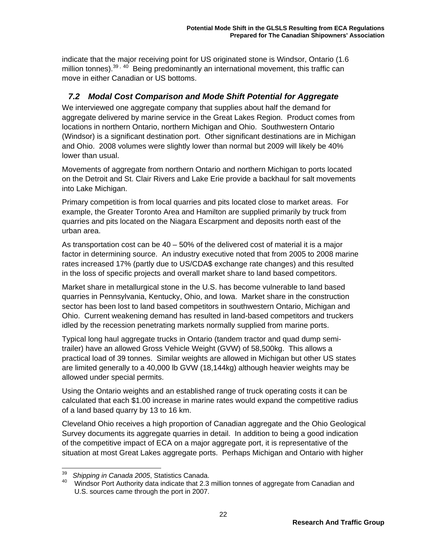indicate that the major receiving point for US originated stone is Windsor, Ontario (1.6 million tonnes).<sup>39, 40</sup> Being predominantly an international movement, this traffic can move in either Canadian or US bottoms.

## *7.2 Modal Cost Comparison and Mode Shift Potential for Aggregate*

We interviewed one aggregate company that supplies about half the demand for aggregate delivered by marine service in the Great Lakes Region. Product comes from locations in northern Ontario, northern Michigan and Ohio. Southwestern Ontario (Windsor) is a significant destination port. Other significant destinations are in Michigan and Ohio. 2008 volumes were slightly lower than normal but 2009 will likely be 40% lower than usual.

Movements of aggregate from northern Ontario and northern Michigan to ports located on the Detroit and St. Clair Rivers and Lake Erie provide a backhaul for salt movements into Lake Michigan.

Primary competition is from local quarries and pits located close to market areas. For example, the Greater Toronto Area and Hamilton are supplied primarily by truck from quarries and pits located on the Niagara Escarpment and deposits north east of the urban area.

As transportation cost can be 40 – 50% of the delivered cost of material it is a major factor in determining source. An industry executive noted that from 2005 to 2008 marine rates increased 17% (partly due to US/CDA\$ exchange rate changes) and this resulted in the loss of specific projects and overall market share to land based competitors.

Market share in metallurgical stone in the U.S. has become vulnerable to land based quarries in Pennsylvania, Kentucky, Ohio, and Iowa. Market share in the construction sector has been lost to land based competitors in southwestern Ontario, Michigan and Ohio. Current weakening demand has resulted in land-based competitors and truckers idled by the recession penetrating markets normally supplied from marine ports.

Typical long haul aggregate trucks in Ontario (tandem tractor and quad dump semitrailer) have an allowed Gross Vehicle Weight (GVW) of 58,500kg. This allows a practical load of 39 tonnes. Similar weights are allowed in Michigan but other US states are limited generally to a 40,000 lb GVW (18,144kg) although heavier weights may be allowed under special permits.

Using the Ontario weights and an established range of truck operating costs it can be calculated that each \$1.00 increase in marine rates would expand the competitive radius of a land based quarry by 13 to 16 km.

Cleveland Ohio receives a high proportion of Canadian aggregate and the Ohio Geological Survey documents its aggregate quarries in detail. In addition to being a good indication of the competitive impact of ECA on a major aggregate port, it is representative of the situation at most Great Lakes aggregate ports. Perhaps Michigan and Ontario with higher

<sup>39</sup> <sup>39</sup> *Shipping in Canada 2005*, Statistics Canada.<br><sup>40</sup> Mindsor Port Authority data indicate that 2.3

<sup>40</sup> Windsor Port Authority data indicate that 2.3 million tonnes of aggregate from Canadian and U.S. sources came through the port in 2007.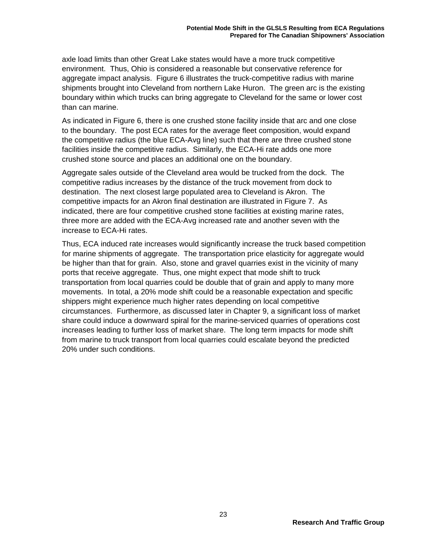axle load limits than other Great Lake states would have a more truck competitive environment. Thus, Ohio is considered a reasonable but conservative reference for aggregate impact analysis. Figure 6 illustrates the truck-competitive radius with marine shipments brought into Cleveland from northern Lake Huron. The green arc is the existing boundary within which trucks can bring aggregate to Cleveland for the same or lower cost than can marine.

As indicated in Figure 6, there is one crushed stone facility inside that arc and one close to the boundary. The post ECA rates for the average fleet composition, would expand the competitive radius (the blue ECA-Avg line) such that there are three crushed stone facilities inside the competitive radius. Similarly, the ECA-Hi rate adds one more crushed stone source and places an additional one on the boundary.

Aggregate sales outside of the Cleveland area would be trucked from the dock. The competitive radius increases by the distance of the truck movement from dock to destination. The next closest large populated area to Cleveland is Akron. The competitive impacts for an Akron final destination are illustrated in Figure 7. As indicated, there are four competitive crushed stone facilities at existing marine rates, three more are added with the ECA-Avg increased rate and another seven with the increase to ECA-Hi rates.

Thus, ECA induced rate increases would significantly increase the truck based competition for marine shipments of aggregate. The transportation price elasticity for aggregate would be higher than that for grain. Also, stone and gravel quarries exist in the vicinity of many ports that receive aggregate. Thus, one might expect that mode shift to truck transportation from local quarries could be double that of grain and apply to many more movements. In total, a 20% mode shift could be a reasonable expectation and specific shippers might experience much higher rates depending on local competitive circumstances. Furthermore, as discussed later in Chapter 9, a significant loss of market share could induce a downward spiral for the marine-serviced quarries of operations cost increases leading to further loss of market share. The long term impacts for mode shift from marine to truck transport from local quarries could escalate beyond the predicted 20% under such conditions.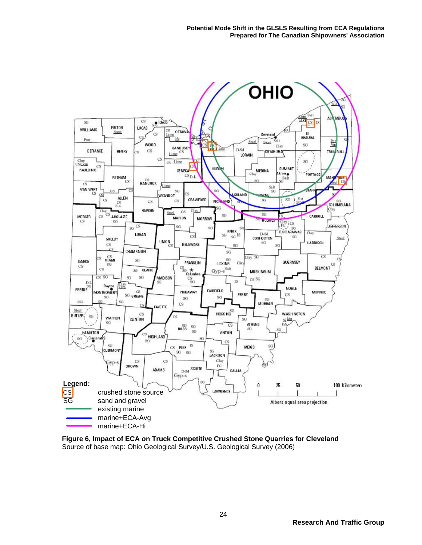

**Figure 6, Impact of ECA on Truck Competitive Crushed Stone Quarries for Cleveland**  Source of base map: Ohio Geological Survey/U.S. Geological Survey (2006)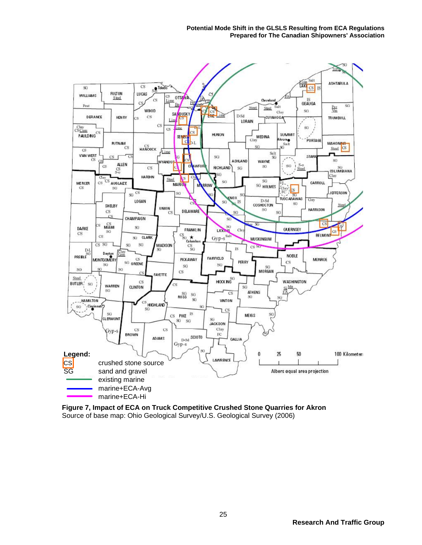

**Figure 7, Impact of ECA on Truck Competitive Crushed Stone Quarries for Akron**  Source of base map: Ohio Geological Survey/U.S. Geological Survey (2006)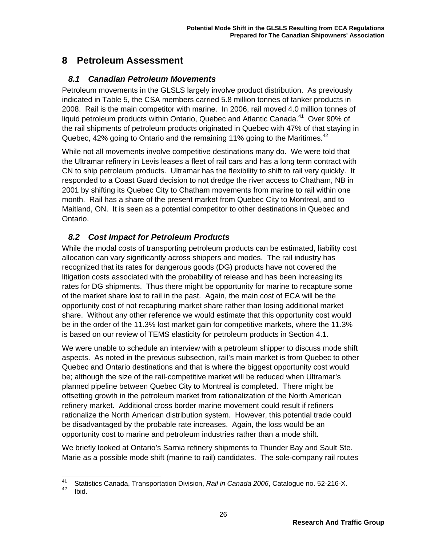## **8 Petroleum Assessment**

### *8.1 Canadian Petroleum Movements*

Petroleum movements in the GLSLS largely involve product distribution. As previously indicated in Table 5, the CSA members carried 5.8 million tonnes of tanker products in 2008. Rail is the main competitor with marine. In 2006, rail moved 4.0 million tonnes of liquid petroleum products within Ontario, Quebec and Atlantic Canada.<sup>41</sup> Over 90% of the rail shipments of petroleum products originated in Quebec with 47% of that staying in Quebec, 42% going to Ontario and the remaining 11% going to the Maritimes.<sup>42</sup>

While not all movements involve competitive destinations many do. We were told that the Ultramar refinery in Levis leases a fleet of rail cars and has a long term contract with CN to ship petroleum products. Ultramar has the flexibility to shift to rail very quickly. It responded to a Coast Guard decision to not dredge the river access to Chatham, NB in 2001 by shifting its Quebec City to Chatham movements from marine to rail within one month. Rail has a share of the present market from Quebec City to Montreal, and to Maitland, ON. It is seen as a potential competitor to other destinations in Quebec and Ontario.

## *8.2 Cost Impact for Petroleum Products*

While the modal costs of transporting petroleum products can be estimated, liability cost allocation can vary significantly across shippers and modes. The rail industry has recognized that its rates for dangerous goods (DG) products have not covered the litigation costs associated with the probability of release and has been increasing its rates for DG shipments. Thus there might be opportunity for marine to recapture some of the market share lost to rail in the past. Again, the main cost of ECA will be the opportunity cost of not recapturing market share rather than losing additional market share. Without any other reference we would estimate that this opportunity cost would be in the order of the 11.3% lost market gain for competitive markets, where the 11.3% is based on our review of TEMS elasticity for petroleum products in Section 4.1.

We were unable to schedule an interview with a petroleum shipper to discuss mode shift aspects. As noted in the previous subsection, rail's main market is from Quebec to other Quebec and Ontario destinations and that is where the biggest opportunity cost would be; although the size of the rail-competitive market will be reduced when Ultramar's planned pipeline between Quebec City to Montreal is completed. There might be offsetting growth in the petroleum market from rationalization of the North American refinery market. Additional cross border marine movement could result if refiners rationalize the North American distribution system. However, this potential trade could be disadvantaged by the probable rate increases. Again, the loss would be an opportunity cost to marine and petroleum industries rather than a mode shift.

We briefly looked at Ontario's Sarnia refinery shipments to Thunder Bay and Sault Ste. Marie as a possible mode shift (marine to rail) candidates. The sole-company rail routes

<sup>41</sup> <sup>41</sup> Statistics Canada, Transportation Division, *Rail in Canada 2006*, Catalogue no. 52-216-X.<br><sup>42</sup> Ibid.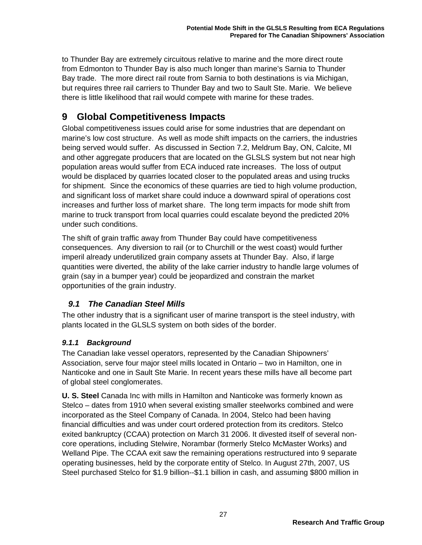to Thunder Bay are extremely circuitous relative to marine and the more direct route from Edmonton to Thunder Bay is also much longer than marine's Sarnia to Thunder Bay trade. The more direct rail route from Sarnia to both destinations is via Michigan, but requires three rail carriers to Thunder Bay and two to Sault Ste. Marie. We believe there is little likelihood that rail would compete with marine for these trades.

## **9 Global Competitiveness Impacts**

Global competitiveness issues could arise for some industries that are dependant on marine's low cost structure. As well as mode shift impacts on the carriers, the industries being served would suffer. As discussed in Section 7.2, Meldrum Bay, ON, Calcite, MI and other aggregate producers that are located on the GLSLS system but not near high population areas would suffer from ECA induced rate increases. The loss of output would be displaced by quarries located closer to the populated areas and using trucks for shipment. Since the economics of these quarries are tied to high volume production, and significant loss of market share could induce a downward spiral of operations cost increases and further loss of market share. The long term impacts for mode shift from marine to truck transport from local quarries could escalate beyond the predicted 20% under such conditions.

The shift of grain traffic away from Thunder Bay could have competitiveness consequences. Any diversion to rail (or to Churchill or the west coast) would further imperil already underutilized grain company assets at Thunder Bay. Also, if large quantities were diverted, the ability of the lake carrier industry to handle large volumes of grain (say in a bumper year) could be jeopardized and constrain the market opportunities of the grain industry.

### *9.1 The Canadian Steel Mills*

The other industry that is a significant user of marine transport is the steel industry, with plants located in the GLSLS system on both sides of the border.

### *9.1.1 Background*

The Canadian lake vessel operators, represented by the Canadian Shipowners' Association, serve four major steel mills located in Ontario – two in Hamilton, one in Nanticoke and one in Sault Ste Marie. In recent years these mills have all become part of global steel conglomerates.

**U. S. Steel** Canada Inc with mills in Hamilton and Nanticoke was formerly known as Stelco – dates from 1910 when several existing smaller steelworks combined and were incorporated as the Steel Company of Canada. In 2004, Stelco had been having financial difficulties and was under court ordered protection from its creditors. Stelco exited bankruptcy (CCAA) protection on March 31 2006. It divested itself of several noncore operations, including Stelwire, Norambar (formerly Stelco McMaster Works) and Welland Pipe. The CCAA exit saw the remaining operations restructured into 9 separate operating businesses, held by the corporate entity of Stelco. In August 27th, 2007, US Steel purchased Stelco for \$1.9 billion--\$1.1 billion in cash, and assuming \$800 million in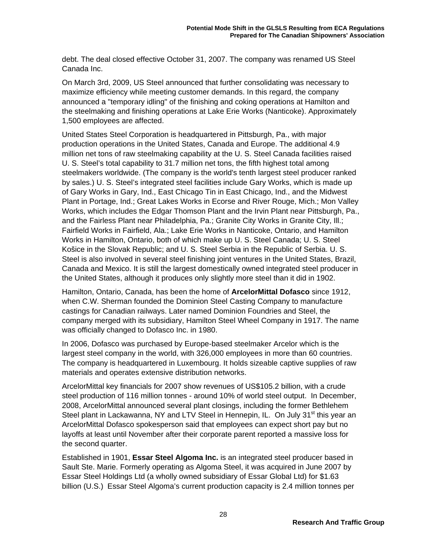debt. The deal closed effective October 31, 2007. The company was renamed US Steel Canada Inc.

On March 3rd, 2009, US Steel announced that further consolidating was necessary to maximize efficiency while meeting customer demands. In this regard, the company announced a "temporary idling" of the finishing and coking operations at Hamilton and the steelmaking and finishing operations at Lake Erie Works (Nanticoke). Approximately 1,500 employees are affected.

United States Steel Corporation is headquartered in Pittsburgh, Pa., with major production operations in the United States, Canada and Europe. The additional 4.9 million net tons of raw steelmaking capability at the U. S. Steel Canada facilities raised U. S. Steel's total capability to 31.7 million net tons, the fifth highest total among steelmakers worldwide. (The company is the world's tenth largest steel producer ranked by sales.) U. S. Steel's integrated steel facilities include Gary Works, which is made up of Gary Works in Gary, Ind., East Chicago Tin in East Chicago, Ind., and the Midwest Plant in Portage, Ind.; Great Lakes Works in Ecorse and River Rouge, Mich.; Mon Valley Works, which includes the Edgar Thomson Plant and the Irvin Plant near Pittsburgh, Pa., and the Fairless Plant near Philadelphia, Pa.; Granite City Works in Granite City, Ill.; Fairfield Works in Fairfield, Ala.; Lake Erie Works in Nanticoke, Ontario, and Hamilton Works in Hamilton, Ontario, both of which make up U. S. Steel Canada; U. S. Steel Košice in the Slovak Republic; and U. S. Steel Serbia in the Republic of Serbia. U. S. Steel is also involved in several steel finishing joint ventures in the United States, Brazil, Canada and Mexico. It is still the largest domestically owned integrated steel producer in the United States, although it produces only slightly more steel than it did in 1902.

Hamilton, Ontario, Canada, has been the home of **ArcelorMittal Dofasco** since 1912, when C.W. Sherman founded the Dominion Steel Casting Company to manufacture castings for Canadian railways. Later named Dominion Foundries and Steel, the company merged with its subsidiary, Hamilton Steel Wheel Company in 1917. The name was officially changed to Dofasco Inc. in 1980.

In 2006, Dofasco was purchased by Europe-based steelmaker Arcelor which is the largest steel company in the world, with 326,000 employees in more than 60 countries. The company is headquartered in Luxembourg. It holds sizeable captive supplies of raw materials and operates extensive distribution networks.

ArcelorMittal key financials for 2007 show revenues of US\$105.2 billion, with a crude steel production of 116 million tonnes - around 10% of world steel output. In December, 2008, ArcelorMittal announced several plant closings, including the former Bethlehem Steel plant in Lackawanna, NY and LTV Steel in Hennepin, IL. On July 31<sup>st</sup> this year an ArcelorMittal Dofasco spokesperson said that employees can expect short pay but no layoffs at least until November after their corporate parent reported a massive loss for the second quarter.

Established in 1901, **Essar Steel Algoma Inc.** is an integrated steel producer based in Sault Ste. Marie. Formerly operating as Algoma Steel, it was acquired in June 2007 by Essar Steel Holdings Ltd (a wholly owned subsidiary of Essar Global Ltd) for \$1.63 billion (U.S.) Essar Steel Algoma's current production capacity is 2.4 million tonnes per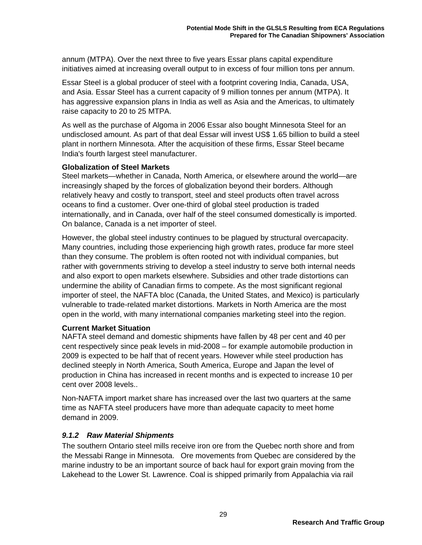annum (MTPA). Over the next three to five years Essar plans capital expenditure initiatives aimed at increasing overall output to in excess of four million tons per annum.

Essar Steel is a global producer of steel with a footprint covering India, Canada, USA, and Asia. Essar Steel has a current capacity of 9 million tonnes per annum (MTPA). It has aggressive expansion plans in India as well as Asia and the Americas, to ultimately raise capacity to 20 to 25 MTPA.

As well as the purchase of Algoma in 2006 Essar also bought Minnesota Steel for an undisclosed amount. As part of that deal Essar will invest US\$ 1.65 billion to build a steel plant in northern Minnesota. After the acquisition of these firms, Essar Steel became India's fourth largest steel manufacturer.

#### **Globalization of Steel Markets**

Steel markets—whether in Canada, North America, or elsewhere around the world—are increasingly shaped by the forces of globalization beyond their borders. Although relatively heavy and costly to transport, steel and steel products often travel across oceans to find a customer. Over one-third of global steel production is traded internationally, and in Canada, over half of the steel consumed domestically is imported. On balance, Canada is a net importer of steel.

However, the global steel industry continues to be plagued by structural overcapacity. Many countries, including those experiencing high growth rates, produce far more steel than they consume. The problem is often rooted not with individual companies, but rather with governments striving to develop a steel industry to serve both internal needs and also export to open markets elsewhere. Subsidies and other trade distortions can undermine the ability of Canadian firms to compete. As the most significant regional importer of steel, the NAFTA bloc (Canada, the United States, and Mexico) is particularly vulnerable to trade-related market distortions. Markets in North America are the most open in the world, with many international companies marketing steel into the region.

#### **Current Market Situation**

NAFTA steel demand and domestic shipments have fallen by 48 per cent and 40 per cent respectively since peak levels in mid-2008 – for example automobile production in 2009 is expected to be half that of recent years. However while steel production has declined steeply in North America, South America, Europe and Japan the level of production in China has increased in recent months and is expected to increase 10 per cent over 2008 levels..

Non-NAFTA import market share has increased over the last two quarters at the same time as NAFTA steel producers have more than adequate capacity to meet home demand in 2009.

### *9.1.2 Raw Material Shipments*

The southern Ontario steel mills receive iron ore from the Quebec north shore and from the Messabi Range in Minnesota. Ore movements from Quebec are considered by the marine industry to be an important source of back haul for export grain moving from the Lakehead to the Lower St. Lawrence. Coal is shipped primarily from Appalachia via rail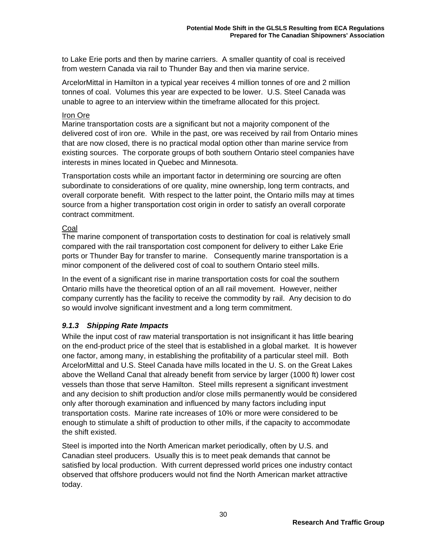to Lake Erie ports and then by marine carriers. A smaller quantity of coal is received from western Canada via rail to Thunder Bay and then via marine service.

ArcelorMittal in Hamilton in a typical year receives 4 million tonnes of ore and 2 million tonnes of coal. Volumes this year are expected to be lower. U.S. Steel Canada was unable to agree to an interview within the timeframe allocated for this project.

#### Iron Ore

Marine transportation costs are a significant but not a majority component of the delivered cost of iron ore. While in the past, ore was received by rail from Ontario mines that are now closed, there is no practical modal option other than marine service from existing sources. The corporate groups of both southern Ontario steel companies have interests in mines located in Quebec and Minnesota.

Transportation costs while an important factor in determining ore sourcing are often subordinate to considerations of ore quality, mine ownership, long term contracts, and overall corporate benefit. With respect to the latter point, the Ontario mills may at times source from a higher transportation cost origin in order to satisfy an overall corporate contract commitment.

#### Coal

The marine component of transportation costs to destination for coal is relatively small compared with the rail transportation cost component for delivery to either Lake Erie ports or Thunder Bay for transfer to marine. Consequently marine transportation is a minor component of the delivered cost of coal to southern Ontario steel mills.

In the event of a significant rise in marine transportation costs for coal the southern Ontario mills have the theoretical option of an all rail movement. However, neither company currently has the facility to receive the commodity by rail. Any decision to do so would involve significant investment and a long term commitment.

### *9.1.3 Shipping Rate Impacts*

While the input cost of raw material transportation is not insignificant it has little bearing on the end-product price of the steel that is established in a global market. It is however one factor, among many, in establishing the profitability of a particular steel mill. Both ArcelorMittal and U.S. Steel Canada have mills located in the U. S. on the Great Lakes above the Welland Canal that already benefit from service by larger (1000 ft) lower cost vessels than those that serve Hamilton. Steel mills represent a significant investment and any decision to shift production and/or close mills permanently would be considered only after thorough examination and influenced by many factors including input transportation costs. Marine rate increases of 10% or more were considered to be enough to stimulate a shift of production to other mills, if the capacity to accommodate the shift existed.

Steel is imported into the North American market periodically, often by U.S. and Canadian steel producers. Usually this is to meet peak demands that cannot be satisfied by local production. With current depressed world prices one industry contact observed that offshore producers would not find the North American market attractive today.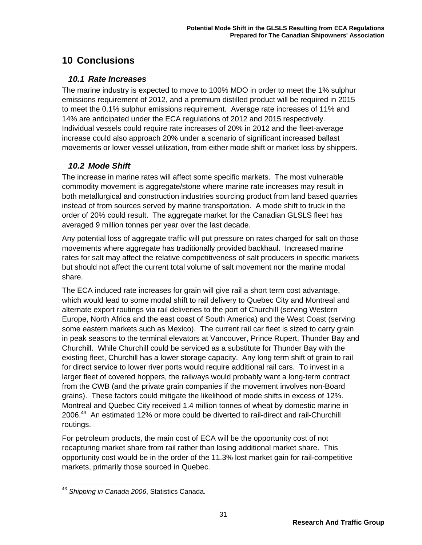## **10 Conclusions**

### *10.1 Rate Increases*

The marine industry is expected to move to 100% MDO in order to meet the 1% sulphur emissions requirement of 2012, and a premium distilled product will be required in 2015 to meet the 0.1% sulphur emissions requirement. Average rate increases of 11% and 14% are anticipated under the ECA regulations of 2012 and 2015 respectively. Individual vessels could require rate increases of 20% in 2012 and the fleet-average increase could also approach 20% under a scenario of significant increased ballast movements or lower vessel utilization, from either mode shift or market loss by shippers.

## *10.2 Mode Shift*

The increase in marine rates will affect some specific markets. The most vulnerable commodity movement is aggregate/stone where marine rate increases may result in both metallurgical and construction industries sourcing product from land based quarries instead of from sources served by marine transportation. A mode shift to truck in the order of 20% could result. The aggregate market for the Canadian GLSLS fleet has averaged 9 million tonnes per year over the last decade.

Any potential loss of aggregate traffic will put pressure on rates charged for salt on those movements where aggregate has traditionally provided backhaul. Increased marine rates for salt may affect the relative competitiveness of salt producers in specific markets but should not affect the current total volume of salt movement nor the marine modal share.

The ECA induced rate increases for grain will give rail a short term cost advantage, which would lead to some modal shift to rail delivery to Quebec City and Montreal and alternate export routings via rail deliveries to the port of Churchill (serving Western Europe, North Africa and the east coast of South America) and the West Coast (serving some eastern markets such as Mexico). The current rail car fleet is sized to carry grain in peak seasons to the terminal elevators at Vancouver, Prince Rupert, Thunder Bay and Churchill. While Churchill could be serviced as a substitute for Thunder Bay with the existing fleet, Churchill has a lower storage capacity. Any long term shift of grain to rail for direct service to lower river ports would require additional rail cars. To invest in a larger fleet of covered hoppers, the railways would probably want a long-term contract from the CWB (and the private grain companies if the movement involves non-Board grains). These factors could mitigate the likelihood of mode shifts in excess of 12%. Montreal and Quebec City received 1.4 million tonnes of wheat by domestic marine in 2006.43 An estimated 12% or more could be diverted to rail-direct and rail-Churchill routings.

For petroleum products, the main cost of ECA will be the opportunity cost of not recapturing market share from rail rather than losing additional market share. This opportunity cost would be in the order of the 11.3% lost market gain for rail-competitive markets, primarily those sourced in Quebec.

<sup>-</sup><sup>43</sup> *Shipping in Canada 2006*, Statistics Canada.